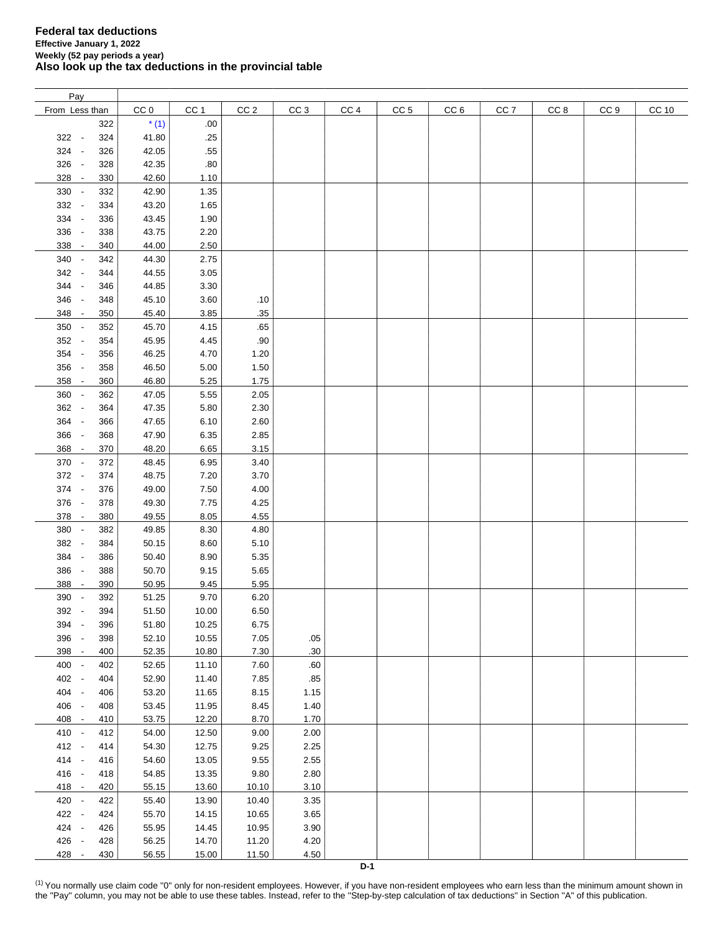| Pay            |     |                 |                 |                 |                 |                 |                 |                 |                 |      |                 |       |
|----------------|-----|-----------------|-----------------|-----------------|-----------------|-----------------|-----------------|-----------------|-----------------|------|-----------------|-------|
| From Less than |     | CC <sub>0</sub> | CC <sub>1</sub> | CC <sub>2</sub> | CC <sub>3</sub> | CC <sub>4</sub> | CC <sub>5</sub> | CC <sub>6</sub> | CC <sub>7</sub> | CC 8 | CC <sub>9</sub> | CC 10 |
|                | 322 | $*(1)$          | .00.            |                 |                 |                 |                 |                 |                 |      |                 |       |
| $322 -$        | 324 | 41.80           | .25             |                 |                 |                 |                 |                 |                 |      |                 |       |
| 324 -          | 326 | 42.05           | .55             |                 |                 |                 |                 |                 |                 |      |                 |       |
|                |     |                 |                 |                 |                 |                 |                 |                 |                 |      |                 |       |
| 326 -          | 328 | 42.35           | .80             |                 |                 |                 |                 |                 |                 |      |                 |       |
| 328 -          | 330 | 42.60           | 1.10            |                 |                 |                 |                 |                 |                 |      |                 |       |
| 330 -          | 332 | 42.90           | 1.35            |                 |                 |                 |                 |                 |                 |      |                 |       |
| 332 -          | 334 | 43.20           | 1.65            |                 |                 |                 |                 |                 |                 |      |                 |       |
| 334 -          | 336 | 43.45           | 1.90            |                 |                 |                 |                 |                 |                 |      |                 |       |
| 336 -          | 338 | 43.75           | 2.20            |                 |                 |                 |                 |                 |                 |      |                 |       |
| 338 -          | 340 | 44.00           | 2.50            |                 |                 |                 |                 |                 |                 |      |                 |       |
| 340<br>$\sim$  | 342 | 44.30           | 2.75            |                 |                 |                 |                 |                 |                 |      |                 |       |
| 342<br>$\sim$  | 344 | 44.55           | 3.05            |                 |                 |                 |                 |                 |                 |      |                 |       |
| 344<br>$\sim$  | 346 | 44.85           | 3.30            |                 |                 |                 |                 |                 |                 |      |                 |       |
| 346 -          | 348 | 45.10           | 3.60            | .10             |                 |                 |                 |                 |                 |      |                 |       |
| 348 -          | 350 | 45.40           | 3.85            | .35             |                 |                 |                 |                 |                 |      |                 |       |
| 350 -          | 352 | 45.70           | 4.15            | .65             |                 |                 |                 |                 |                 |      |                 |       |
| 352 -          | 354 | 45.95           | 4.45            | .90             |                 |                 |                 |                 |                 |      |                 |       |
| 354 -          | 356 | 46.25           | 4.70            | 1.20            |                 |                 |                 |                 |                 |      |                 |       |
| 356 -          | 358 | 46.50           | 5.00            | 1.50            |                 |                 |                 |                 |                 |      |                 |       |
|                |     |                 |                 |                 |                 |                 |                 |                 |                 |      |                 |       |
| $358 -$        | 360 | 46.80           | 5.25            | 1.75            |                 |                 |                 |                 |                 |      |                 |       |
| 360 -          | 362 | 47.05           | 5.55            | 2.05            |                 |                 |                 |                 |                 |      |                 |       |
| 362 -          | 364 | 47.35           | 5.80            | 2.30            |                 |                 |                 |                 |                 |      |                 |       |
| 364 -          | 366 | 47.65           | 6.10            | 2.60            |                 |                 |                 |                 |                 |      |                 |       |
| 366 -          | 368 | 47.90           | 6.35            | 2.85            |                 |                 |                 |                 |                 |      |                 |       |
| 368 -          | 370 | 48.20           | 6.65            | 3.15            |                 |                 |                 |                 |                 |      |                 |       |
| 370 -          | 372 | 48.45           | 6.95            | 3.40            |                 |                 |                 |                 |                 |      |                 |       |
| 372 -          | 374 | 48.75           | 7.20            | 3.70            |                 |                 |                 |                 |                 |      |                 |       |
| 374 -          | 376 | 49.00           | 7.50            | 4.00            |                 |                 |                 |                 |                 |      |                 |       |
| 376 -          | 378 | 49.30           | 7.75            | 4.25            |                 |                 |                 |                 |                 |      |                 |       |
| 378 -          | 380 | 49.55           | 8.05            | 4.55            |                 |                 |                 |                 |                 |      |                 |       |
| 380 -          | 382 | 49.85           | 8.30            | 4.80            |                 |                 |                 |                 |                 |      |                 |       |
| 382 -          | 384 | 50.15           | 8.60            | 5.10            |                 |                 |                 |                 |                 |      |                 |       |
| 384 -          | 386 | 50.40           | 8.90            | 5.35            |                 |                 |                 |                 |                 |      |                 |       |
| 386 -          | 388 | 50.70           | 9.15            | 5.65            |                 |                 |                 |                 |                 |      |                 |       |
| 388<br>$\sim$  | 390 | 50.95           | 9.45            | 5.95            |                 |                 |                 |                 |                 |      |                 |       |
| 390<br>$\sim$  | 392 | 51.25           | 9.70            | 6.20            |                 |                 |                 |                 |                 |      |                 |       |
| 392 -          | 394 | 51.50           | 10.00           | 6.50            |                 |                 |                 |                 |                 |      |                 |       |
| 394<br>$\sim$  | 396 | 51.80           | 10.25           | 6.75            |                 |                 |                 |                 |                 |      |                 |       |
|                |     | 52.10           |                 |                 |                 |                 |                 |                 |                 |      |                 |       |
| 396 -          | 398 |                 | 10.55           | 7.05            | .05             |                 |                 |                 |                 |      |                 |       |
| 398 -          | 400 | 52.35           | 10.80           | 7.30            | .30             |                 |                 |                 |                 |      |                 |       |
| 400 -          | 402 | 52.65           | 11.10           | 7.60            | .60             |                 |                 |                 |                 |      |                 |       |
| 402 -          | 404 | 52.90           | 11.40           | 7.85            | .85             |                 |                 |                 |                 |      |                 |       |
| 404 -          | 406 | 53.20           | 11.65           | 8.15            | 1.15            |                 |                 |                 |                 |      |                 |       |
| 406 -          | 408 | 53.45           | 11.95           | 8.45            | 1.40            |                 |                 |                 |                 |      |                 |       |
| 408 -          | 410 | 53.75           | 12.20           | 8.70            | 1.70            |                 |                 |                 |                 |      |                 |       |
| 410 -          | 412 | 54.00           | 12.50           | 9.00            | 2.00            |                 |                 |                 |                 |      |                 |       |
| 412 -          | 414 | 54.30           | 12.75           | 9.25            | 2.25            |                 |                 |                 |                 |      |                 |       |
| 414 -          | 416 | 54.60           | 13.05           | 9.55            | 2.55            |                 |                 |                 |                 |      |                 |       |
| 416 -          | 418 | 54.85           | 13.35           | 9.80            | 2.80            |                 |                 |                 |                 |      |                 |       |
| 418 -          | 420 | 55.15           | 13.60           | 10.10           | 3.10            |                 |                 |                 |                 |      |                 |       |
| 420 -          | 422 | 55.40           | 13.90           | 10.40           | 3.35            |                 |                 |                 |                 |      |                 |       |
| 422 -          | 424 | 55.70           | 14.15           | 10.65           | 3.65            |                 |                 |                 |                 |      |                 |       |
| 424 -          | 426 | 55.95           | 14.45           | 10.95           | 3.90            |                 |                 |                 |                 |      |                 |       |
| 426 -          | 428 | 56.25           | 14.70           | 11.20           | 4.20            |                 |                 |                 |                 |      |                 |       |
| 428 -          | 430 | 56.55           | 15.00           | 11.50           | 4.50            |                 |                 |                 |                 |      |                 |       |

<span id="page-0-0"></span><sup>(1)</sup> You normally use claim code "0" only for non-resident employees. However, if you have non-resident employees who earn less than the minimum amount shown in the "Pay" column, you may not be able to use these tables. Instead, refer to the "Step-by-step calculation of tax deductions" in Section "A" of this publication.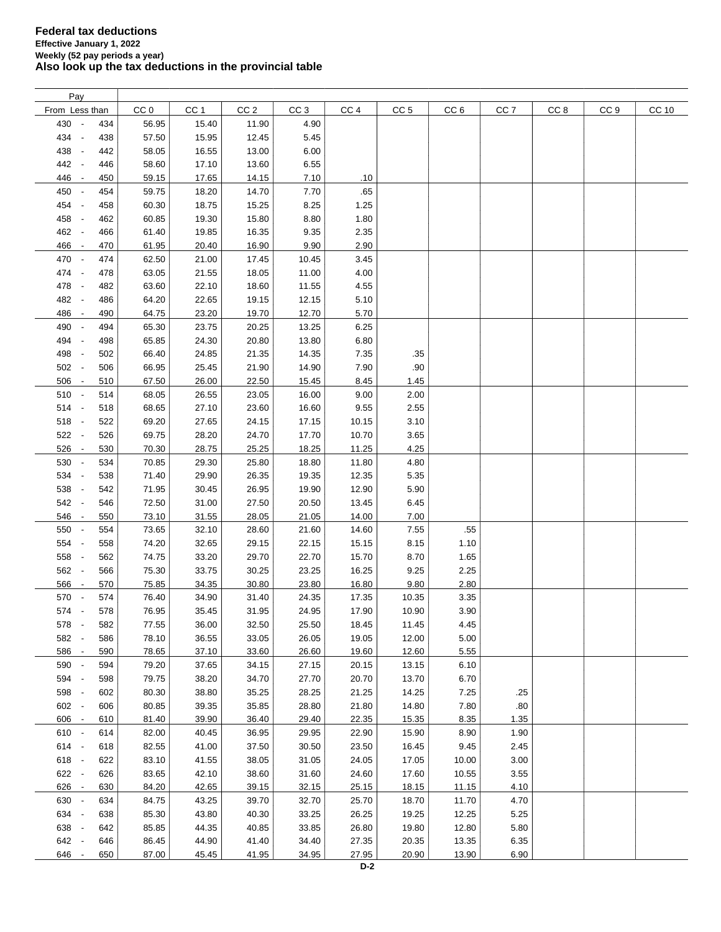| Pay                             |     |                 |                 |                 |                 |                 |                 |                 |                 |      |                 |       |
|---------------------------------|-----|-----------------|-----------------|-----------------|-----------------|-----------------|-----------------|-----------------|-----------------|------|-----------------|-------|
| From Less than                  |     | CC <sub>0</sub> | CC <sub>1</sub> | CC <sub>2</sub> | CC <sub>3</sub> | CC <sub>4</sub> | CC <sub>5</sub> | CC <sub>6</sub> | CC <sub>7</sub> | CC 8 | CC <sub>9</sub> | CC 10 |
| 430 -                           | 434 | 56.95           | 15.40           | 11.90           | 4.90            |                 |                 |                 |                 |      |                 |       |
| 434 -                           | 438 | 57.50           | 15.95           | 12.45           | 5.45            |                 |                 |                 |                 |      |                 |       |
| 438 -                           | 442 | 58.05           | 16.55           | 13.00           | 6.00            |                 |                 |                 |                 |      |                 |       |
| 442 -                           | 446 | 58.60           | 17.10           | 13.60           | 6.55            |                 |                 |                 |                 |      |                 |       |
|                                 |     |                 |                 |                 |                 |                 |                 |                 |                 |      |                 |       |
| 446 -                           | 450 | 59.15           | 17.65           | 14.15           | 7.10            | .10             |                 |                 |                 |      |                 |       |
| 450 -                           | 454 | 59.75           | 18.20           | 14.70           | 7.70            | .65             |                 |                 |                 |      |                 |       |
| 454 -                           | 458 | 60.30           | 18.75           | 15.25           | 8.25            | 1.25            |                 |                 |                 |      |                 |       |
| 458 -                           | 462 | 60.85           | 19.30           | 15.80           | 8.80            | 1.80            |                 |                 |                 |      |                 |       |
| 462 -                           | 466 | 61.40           | 19.85           | 16.35           | 9.35            | 2.35            |                 |                 |                 |      |                 |       |
| 466<br>$\overline{\phantom{a}}$ | 470 | 61.95           | 20.40           | 16.90           | 9.90            | 2.90            |                 |                 |                 |      |                 |       |
| 470 -                           | 474 | 62.50           | 21.00           | 17.45           | 10.45           | 3.45            |                 |                 |                 |      |                 |       |
| 474 -                           | 478 | 63.05           | 21.55           | 18.05           | 11.00           | 4.00            |                 |                 |                 |      |                 |       |
| 478 -                           | 482 | 63.60           | 22.10           | 18.60           | 11.55           | 4.55            |                 |                 |                 |      |                 |       |
| 482 -                           | 486 | 64.20           | 22.65           | 19.15           | 12.15           | 5.10            |                 |                 |                 |      |                 |       |
| 486 -                           | 490 | 64.75           | 23.20           | 19.70           | 12.70           | 5.70            |                 |                 |                 |      |                 |       |
| 490 -                           | 494 | 65.30           | 23.75           | 20.25           | 13.25           | 6.25            |                 |                 |                 |      |                 |       |
| 494 -                           | 498 | 65.85           | 24.30           | 20.80           | 13.80           | 6.80            |                 |                 |                 |      |                 |       |
| 498 -                           | 502 | 66.40           | 24.85           | 21.35           | 14.35           | 7.35            | .35             |                 |                 |      |                 |       |
| 502 -                           | 506 | 66.95           | 25.45           | 21.90           | 14.90           | 7.90            | .90             |                 |                 |      |                 |       |
| 506<br>$\sim$                   | 510 | 67.50           | 26.00           | 22.50           | 15.45           | 8.45            | 1.45            |                 |                 |      |                 |       |
| 510 -                           | 514 | 68.05           | 26.55           | 23.05           | 16.00           | 9.00            | 2.00            |                 |                 |      |                 |       |
| 514 -                           | 518 | 68.65           | 27.10           | 23.60           | 16.60           | 9.55            | 2.55            |                 |                 |      |                 |       |
|                                 |     |                 |                 |                 |                 |                 |                 |                 |                 |      |                 |       |
| 518 -                           | 522 | 69.20           | 27.65           | 24.15           | 17.15           | 10.15           | 3.10            |                 |                 |      |                 |       |
| $522 -$                         | 526 | 69.75           | 28.20           | 24.70           | 17.70           | 10.70           | 3.65            |                 |                 |      |                 |       |
| $526 -$                         | 530 | 70.30           | 28.75           | 25.25           | 18.25           | 11.25           | 4.25            |                 |                 |      |                 |       |
| 530 -                           | 534 | 70.85           | 29.30           | 25.80           | 18.80           | 11.80           | 4.80            |                 |                 |      |                 |       |
| 534 -                           | 538 | 71.40           | 29.90           | 26.35           | 19.35           | 12.35           | 5.35            |                 |                 |      |                 |       |
| 538 -                           | 542 | 71.95           | 30.45           | 26.95           | 19.90           | 12.90           | 5.90            |                 |                 |      |                 |       |
| 542 -                           | 546 | 72.50           | 31.00           | 27.50           | 20.50           | 13.45           | 6.45            |                 |                 |      |                 |       |
| 546 -                           | 550 | 73.10           | 31.55           | 28.05           | 21.05           | 14.00           | 7.00            |                 |                 |      |                 |       |
| 550 -                           | 554 | 73.65           | 32.10           | 28.60           | 21.60           | 14.60           | 7.55            | .55             |                 |      |                 |       |
| 554 -                           | 558 | 74.20           | 32.65           | 29.15           | 22.15           | 15.15           | 8.15            | 1.10            |                 |      |                 |       |
| 558 -                           | 562 | 74.75           | 33.20           | 29.70           | 22.70           | 15.70           | 8.70            | 1.65            |                 |      |                 |       |
| 562 -                           | 566 | 75.30           | 33.75           | 30.25           | 23.25           | 16.25           | 9.25            | 2.25            |                 |      |                 |       |
| 566 -                           | 570 | 75.85           | 34.35           | 30.80           | 23.80           | 16.80           | 9.80            | 2.80            |                 |      |                 |       |
| 570 -                           | 574 | 76.40           | 34.90           | 31.40           | 24.35           | 17.35           | 10.35           | 3.35            |                 |      |                 |       |
| 574 -                           | 578 | 76.95           | 35.45           | 31.95           | 24.95           | 17.90           | 10.90           | 3.90            |                 |      |                 |       |
| 578<br>$\sim$                   | 582 | 77.55           | 36.00           | 32.50           | 25.50           | 18.45           | 11.45           | 4.45            |                 |      |                 |       |
| 582 -                           | 586 | 78.10           | 36.55           | 33.05           | 26.05           | 19.05           | 12.00           | 5.00            |                 |      |                 |       |
| 586 -                           | 590 | 78.65           | 37.10           | 33.60           | 26.60           | 19.60           | 12.60           | 5.55            |                 |      |                 |       |
| 590 -                           | 594 | 79.20           | 37.65           | 34.15           | 27.15           | 20.15           | 13.15           | 6.10            |                 |      |                 |       |
| 594 -                           | 598 | 79.75           | 38.20           | 34.70           | 27.70           | 20.70           | 13.70           | 6.70            |                 |      |                 |       |
| 598 -                           | 602 | 80.30           | 38.80           | 35.25           | 28.25           | 21.25           | 14.25           | 7.25            | .25             |      |                 |       |
| 602 -                           | 606 | 80.85           | 39.35           | 35.85           | 28.80           | 21.80           | 14.80           | 7.80            | .80             |      |                 |       |
| 606 -                           | 610 | 81.40           | 39.90           | 36.40           | 29.40           | 22.35           | 15.35           | 8.35            | 1.35            |      |                 |       |
| $610 -$                         | 614 | 82.00           | 40.45           | 36.95           | 29.95           | 22.90           | 15.90           | 8.90            | 1.90            |      |                 |       |
|                                 |     |                 |                 |                 |                 |                 |                 |                 |                 |      |                 |       |
| 614 -                           | 618 | 82.55           | 41.00           | 37.50           | 30.50           | 23.50           | 16.45           | 9.45            | 2.45            |      |                 |       |
| 618 -                           | 622 | 83.10           | 41.55           | 38.05           | 31.05           | 24.05           | 17.05           | 10.00           | 3.00            |      |                 |       |
| 622 -                           | 626 | 83.65           | 42.10           | 38.60           | 31.60           | 24.60           | 17.60           | 10.55           | 3.55            |      |                 |       |
| 626 -                           | 630 | 84.20           | 42.65           | 39.15           | 32.15           | 25.15           | 18.15           | 11.15           | 4.10            |      |                 |       |
| 630 -                           | 634 | 84.75           | 43.25           | 39.70           | 32.70           | 25.70           | 18.70           | 11.70           | 4.70            |      |                 |       |
| 634 -                           | 638 | 85.30           | 43.80           | 40.30           | 33.25           | 26.25           | 19.25           | 12.25           | 5.25            |      |                 |       |
| 638 -                           | 642 | 85.85           | 44.35           | 40.85           | 33.85           | 26.80           | 19.80           | 12.80           | 5.80            |      |                 |       |
| 642 -                           | 646 | 86.45           | 44.90           | 41.40           | 34.40           | 27.35           | 20.35           | 13.35           | 6.35            |      |                 |       |
| 646 -                           | 650 | 87.00           | 45.45           | 41.95           | 34.95           | 27.95           | 20.90           | 13.90           | 6.90            |      |                 |       |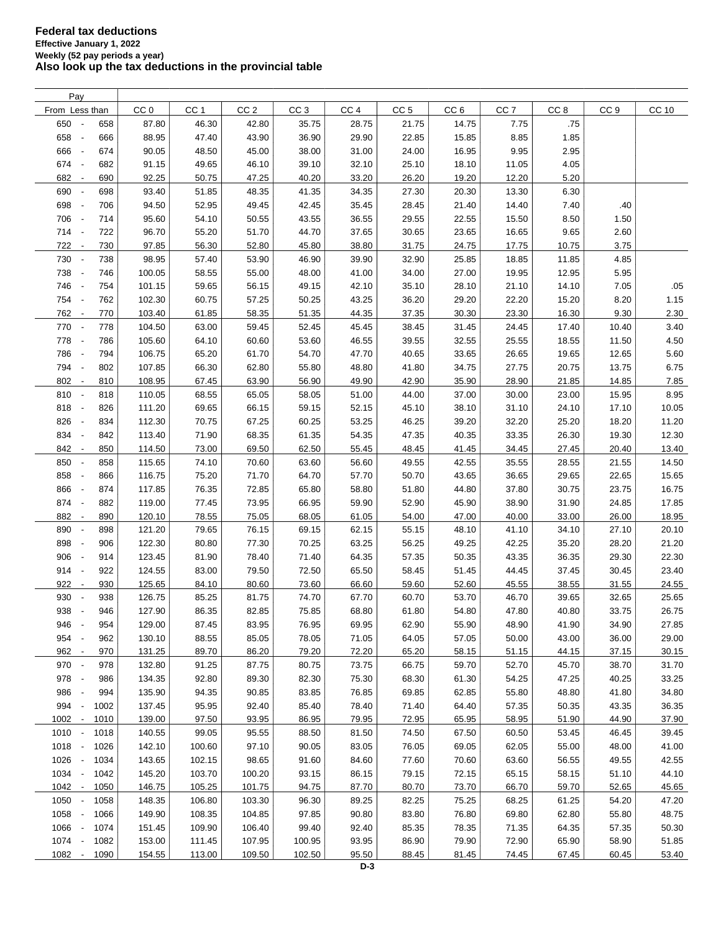| Pay                             |      |                 |                 |                 |                 |                 |                 |                 |                 |                 |                 |              |
|---------------------------------|------|-----------------|-----------------|-----------------|-----------------|-----------------|-----------------|-----------------|-----------------|-----------------|-----------------|--------------|
| From Less than                  |      | CC <sub>0</sub> | CC <sub>1</sub> | CC <sub>2</sub> | CC <sub>3</sub> | CC <sub>4</sub> | CC <sub>5</sub> | CC <sub>6</sub> | CC <sub>7</sub> | CC <sub>8</sub> | CC <sub>9</sub> | <b>CC 10</b> |
| 650 -                           | 658  | 87.80           | 46.30           | 42.80           | 35.75           | 28.75           | 21.75           | 14.75           | 7.75            | .75             |                 |              |
| 658 -                           | 666  | 88.95           | 47.40           | 43.90           | 36.90           | 29.90           | 22.85           | 15.85           | 8.85            | 1.85            |                 |              |
| 666 -                           | 674  | 90.05           | 48.50           | 45.00           | 38.00           | 31.00           | 24.00           | 16.95           | 9.95            | 2.95            |                 |              |
| 674 -                           | 682  | 91.15           | 49.65           | 46.10           | 39.10           | 32.10           | 25.10           | 18.10           | 11.05           | 4.05            |                 |              |
| 682<br>$\sim$                   | 690  | 92.25           | 50.75           | 47.25           | 40.20           | 33.20           | 26.20           | 19.20           | 12.20           | 5.20            |                 |              |
| 690<br>$\sim$                   | 698  | 93.40           | 51.85           | 48.35           | 41.35           | 34.35           | 27.30           | 20.30           | 13.30           | 6.30            |                 |              |
| 698 -                           | 706  | 94.50           | 52.95           | 49.45           | 42.45           | 35.45           | 28.45           | 21.40           | 14.40           | 7.40            | .40             |              |
|                                 |      |                 |                 |                 |                 |                 |                 |                 |                 |                 |                 |              |
| 706 -                           | 714  | 95.60           | 54.10           | 50.55           | 43.55           | 36.55           | 29.55           | 22.55           | 15.50           | 8.50            | 1.50            |              |
| 714 -                           | 722  | 96.70           | 55.20           | 51.70           | 44.70           | 37.65           | 30.65           | 23.65           | 16.65           | 9.65            | 2.60            |              |
| 722 -                           | 730  | 97.85           | 56.30           | 52.80           | 45.80           | 38.80           | 31.75           | 24.75           | 17.75           | 10.75           | 3.75            |              |
| 730<br>$\sim$                   | 738  | 98.95           | 57.40           | 53.90           | 46.90           | 39.90           | 32.90           | 25.85           | 18.85           | 11.85           | 4.85            |              |
| 738<br>$\sim$                   | 746  | 100.05          | 58.55           | 55.00           | 48.00           | 41.00           | 34.00           | 27.00           | 19.95           | 12.95           | 5.95            |              |
| 746 -                           | 754  | 101.15          | 59.65           | 56.15           | 49.15           | 42.10           | 35.10           | 28.10           | 21.10           | 14.10           | 7.05            | .05          |
| 754 -                           | 762  | 102.30          | 60.75           | 57.25           | 50.25           | 43.25           | 36.20           | 29.20           | 22.20           | 15.20           | 8.20            | 1.15         |
| 762 -                           | 770  | 103.40          | 61.85           | 58.35           | 51.35           | 44.35           | 37.35           | 30.30           | 23.30           | 16.30           | 9.30            | 2.30         |
| 770 -                           | 778  | 104.50          | 63.00           | 59.45           | 52.45           | 45.45           | 38.45           | 31.45           | 24.45           | 17.40           | 10.40           | 3.40         |
| 778<br>$\sim$                   | 786  | 105.60          | 64.10           | 60.60           | 53.60           | 46.55           | 39.55           | 32.55           | 25.55           | 18.55           | 11.50           | 4.50         |
| 786<br>$\sim$                   | 794  | 106.75          | 65.20           | 61.70           | 54.70           | 47.70           | 40.65           | 33.65           | 26.65           | 19.65           | 12.65           | 5.60         |
| 794 -                           | 802  | 107.85          | 66.30           | 62.80           | 55.80           | 48.80           | 41.80           | 34.75           | 27.75           | 20.75           | 13.75           | 6.75         |
| 802<br>$\sim$                   | 810  | 108.95          | 67.45           | 63.90           | 56.90           | 49.90           | 42.90           | 35.90           | 28.90           | 21.85           | 14.85           | 7.85         |
| 810 -                           | 818  | 110.05          | 68.55           | 65.05           | 58.05           | 51.00           | 44.00           | 37.00           | 30.00           | 23.00           | 15.95           | 8.95         |
| 818 -                           | 826  | 111.20          | 69.65           | 66.15           | 59.15           | 52.15           | 45.10           | 38.10           | 31.10           | 24.10           | 17.10           | 10.05        |
| 826 -                           | 834  | 112.30          | 70.75           | 67.25           | 60.25           | 53.25           | 46.25           | 39.20           | 32.20           | 25.20           | 18.20           | 11.20        |
| 834 -                           | 842  | 113.40          | 71.90           | 68.35           | 61.35           | 54.35           | 47.35           | 40.35           | 33.35           | 26.30           | 19.30           | 12.30        |
| 842 -                           | 850  | 114.50          | 73.00           | 69.50           | 62.50           | 55.45           | 48.45           | 41.45           | 34.45           | 27.45           | 20.40           | 13.40        |
| 850 -                           | 858  | 115.65          | 74.10           | 70.60           | 63.60           | 56.60           | 49.55           | 42.55           | 35.55           | 28.55           | 21.55           | 14.50        |
| 858 -                           | 866  | 116.75          | 75.20           | 71.70           | 64.70           | 57.70           | 50.70           | 43.65           | 36.65           | 29.65           | 22.65           | 15.65        |
| 866<br>$\sim$                   | 874  | 117.85          | 76.35           | 72.85           | 65.80           |                 |                 | 44.80           | 37.80           | 30.75           | 23.75           | 16.75        |
|                                 |      |                 |                 |                 |                 | 58.80           | 51.80           |                 |                 |                 |                 |              |
| 874 -                           | 882  | 119.00          | 77.45           | 73.95           | 66.95           | 59.90           | 52.90           | 45.90           | 38.90           | 31.90           | 24.85           | 17.85        |
| 882 -                           | 890  | 120.10          | 78.55           | 75.05           | 68.05           | 61.05           | 54.00           | 47.00           | 40.00           | 33.00           | 26.00           | 18.95        |
| 890<br>$\sim$                   | 898  | 121.20          | 79.65           | 76.15           | 69.15           | 62.15           | 55.15           | 48.10           | 41.10           | 34.10           | 27.10           | 20.10        |
| 898 -                           | 906  | 122.30          | 80.80           | 77.30           | 70.25           | 63.25           | 56.25           | 49.25           | 42.25           | 35.20           | 28.20           | 21.20        |
| 906 -                           | 914  | 123.45          | 81.90           | 78.40           | 71.40           | 64.35           | 57.35           | 50.35           | 43.35           | 36.35           | 29.30           | 22.30        |
| 914<br>$\sim$                   | 922  | 124.55          | 83.00           | 79.50           | 72.50           | 65.50           | 58.45           | 51.45           | 44.45           | 37.45           | 30.45           | 23.40        |
| 922<br>$\overline{\phantom{a}}$ | 930  | 125.65          | 84.10           | 80.60           | 73.60           | 66.60           | 59.60           | 52.60           | 45.55           | 38.55           | 31.55           | 24.55        |
| 930<br>$\overline{\phantom{a}}$ | 938  | 126.75          | 85.25           | 81.75           | 74.70           | 67.70           | 60.70           | 53.70           | 46.70           | 39.65           | 32.65           | 25.65        |
| 938<br>$\sim$                   | 946  | 127.90          | 86.35           | 82.85           | 75.85           | 68.80           | 61.80           | 54.80           | 47.80           | 40.80           | 33.75           | 26.75        |
| 946<br>$\sim$                   | 954  | 129.00          | 87.45           | 83.95           | 76.95           | 69.95           | 62.90           | 55.90           | 48.90           | 41.90           | 34.90           | 27.85        |
| 954 -                           | 962  | 130.10          | 88.55           | 85.05           | 78.05           | 71.05           | 64.05           | 57.05           | 50.00           | 43.00           | 36.00           | 29.00        |
| 962 -                           | 970  | 131.25          | 89.70           | 86.20           | 79.20           | 72.20           | 65.20           | 58.15           | 51.15           | 44.15           | 37.15           | 30.15        |
| 970 -                           | 978  | 132.80          | 91.25           | 87.75           | 80.75           | 73.75           | 66.75           | 59.70           | 52.70           | 45.70           | 38.70           | 31.70        |
| 978 -                           | 986  | 134.35          | 92.80           | 89.30           | 82.30           | 75.30           | 68.30           | 61.30           | 54.25           | 47.25           | 40.25           | 33.25        |
| 986<br>$\sim$                   | 994  | 135.90          | 94.35           | 90.85           | 83.85           | 76.85           | 69.85           | 62.85           | 55.80           | 48.80           | 41.80           | 34.80        |
| 994<br>$\sim$                   | 1002 | 137.45          | 95.95           | 92.40           | 85.40           | 78.40           | 71.40           | 64.40           | 57.35           | 50.35           | 43.35           | 36.35        |
| $1002 -$                        | 1010 | 139.00          | 97.50           | 93.95           | 86.95           | 79.95           | 72.95           | 65.95           | 58.95           | 51.90           | 44.90           | 37.90        |
| $1010 -$                        | 1018 | 140.55          | 99.05           | 95.55           | 88.50           | 81.50           | 74.50           | 67.50           | 60.50           | 53.45           | 46.45           | 39.45        |
| 1018 -                          | 1026 | 142.10          | 100.60          | 97.10           | 90.05           | 83.05           | 76.05           | 69.05           | 62.05           | 55.00           | 48.00           | 41.00        |
| 1026 -                          | 1034 | 143.65          | 102.15          | 98.65           | 91.60           | 84.60           | 77.60           | 70.60           | 63.60           | 56.55           | 49.55           | 42.55        |
|                                 |      |                 |                 |                 |                 |                 |                 |                 |                 |                 |                 |              |
| 1034 -                          | 1042 | 145.20          | 103.70          | 100.20          | 93.15           | 86.15           | 79.15           | 72.15           | 65.15           | 58.15           | 51.10           | 44.10        |
| $1042 -$                        | 1050 | 146.75          | 105.25          | 101.75          | 94.75           | 87.70           | 80.70           | 73.70           | 66.70           | 59.70           | 52.65           | 45.65        |
| 1050 -                          | 1058 | 148.35          | 106.80          | 103.30          | 96.30           | 89.25           | 82.25           | 75.25           | 68.25           | 61.25           | 54.20           | 47.20        |
| 1058                            | 1066 | 149.90          | 108.35          | 104.85          | 97.85           | 90.80           | 83.80           | 76.80           | 69.80           | 62.80           | 55.80           | 48.75        |
| 1066 -                          | 1074 | 151.45          | 109.90          | 106.40          | 99.40           | 92.40           | 85.35           | 78.35           | 71.35           | 64.35           | 57.35           | 50.30        |
| 1074 -                          | 1082 | 153.00          | 111.45          | 107.95          | 100.95          | 93.95           | 86.90           | 79.90           | 72.90           | 65.90           | 58.90           | 51.85        |
| 1082 -                          | 1090 | 154.55          | 113.00          | 109.50          | 102.50          | 95.50           | 88.45           | 81.45           | 74.45           | 67.45           | 60.45           | 53.40        |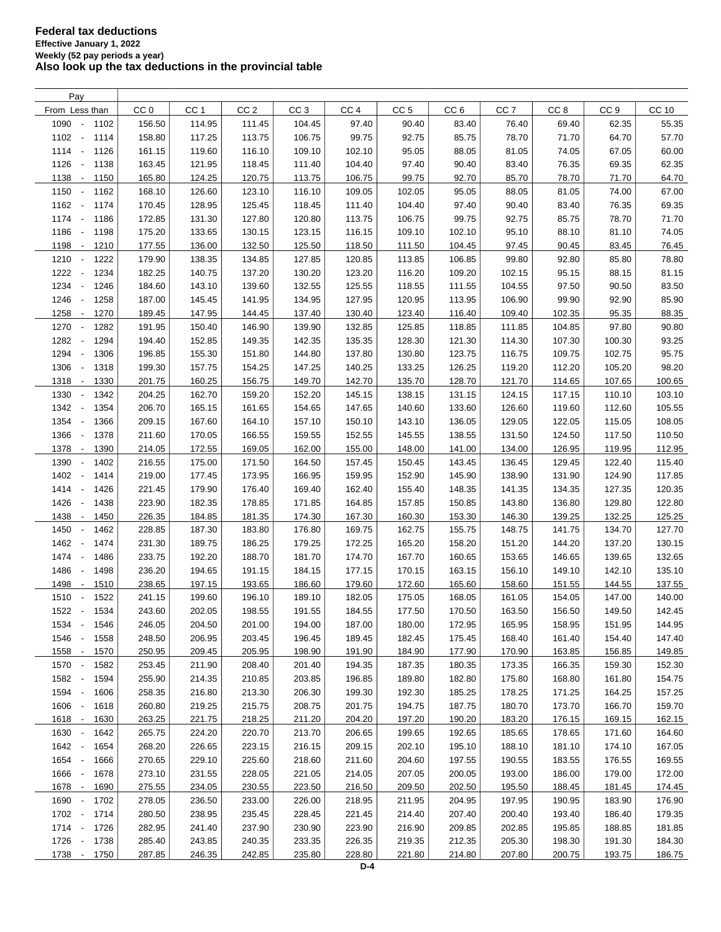| Pay                                      |                 |                 |                 |                  |                 |                  |                 |                 |                 |                 |        |
|------------------------------------------|-----------------|-----------------|-----------------|------------------|-----------------|------------------|-----------------|-----------------|-----------------|-----------------|--------|
| From Less than                           | CC <sub>0</sub> | CC <sub>1</sub> | CC <sub>2</sub> | CC <sub>3</sub>  | CC <sub>4</sub> | CC <sub>5</sub>  | CC <sub>6</sub> | CC <sub>7</sub> | CC <sub>8</sub> | CC <sub>9</sub> | CC 10  |
| 1090<br>1102<br>$\sim$                   | 156.50          | 114.95          | 111.45          | 104.45           | 97.40           | 90.40            | 83.40           | 76.40           | 69.40           | 62.35           | 55.35  |
| 1102<br>$\sim$<br>1114                   | 158.80          | 117.25          | 113.75          | 106.75           | 99.75           | 92.75            | 85.75           | 78.70           | 71.70           | 64.70           | 57.70  |
| 1114 -<br>1126                           | 161.15          | 119.60          | 116.10          | 109.10           | 102.10          | 95.05            | 88.05           | 81.05           | 74.05           | 67.05           | 60.00  |
| 1126<br>1138<br>$\sim$                   | 163.45          | 121.95          | 118.45          | 111.40           | 104.40          | 97.40            | 90.40           | 83.40           | 76.35           | 69.35           | 62.35  |
| 1138<br>1150<br>$\sim$                   | 165.80          | 124.25          | 120.75          | 113.75           | 106.75          | 99.75            | 92.70           | 85.70           | 78.70           | 71.70           | 64.70  |
| 1150<br>$\sim$<br>1162                   | 168.10          | 126.60          | 123.10          | 116.10           | 109.05          | 102.05           | 95.05           | 88.05           | 81.05           | 74.00           | 67.00  |
|                                          |                 |                 |                 |                  |                 |                  |                 |                 |                 |                 |        |
| 1162 -<br>1174                           | 170.45          | 128.95          | 125.45          | 118.45           | 111.40          | 104.40           | 97.40           | 90.40           | 83.40           | 76.35           | 69.35  |
| 1174 -<br>1186                           | 172.85          | 131.30          | 127.80          | 120.80           | 113.75          | 106.75           | 99.75           | 92.75           | 85.75           | 78.70           | 71.70  |
| 1186<br>$\sim$<br>1198                   | 175.20          | 133.65          | 130.15          | 123.15           | 116.15          | 109.10           | 102.10          | 95.10           | 88.10           | 81.10           | 74.05  |
| 1198 -<br>1210                           | 177.55          | 136.00          | 132.50          | 125.50           | 118.50          | 111.50           | 104.45          | 97.45           | 90.45           | 83.45           | 76.45  |
| 1210<br>$\overline{\phantom{a}}$<br>1222 | 179.90          | 138.35          | 134.85          | 127.85           | 120.85          | 113.85           | 106.85          | 99.80           | 92.80           | 85.80           | 78.80  |
| 1222<br>1234<br>$\overline{\phantom{a}}$ | 182.25          | 140.75          | 137.20          | 130.20           | 123.20          | 116.20           | 109.20          | 102.15          | 95.15           | 88.15           | 81.15  |
| 1234<br>1246<br>$\overline{\phantom{a}}$ | 184.60          | 143.10          | 139.60          | 132.55           | 125.55          | 118.55           | 111.55          | 104.55          | 97.50           | 90.50           | 83.50  |
| 1246<br>1258<br>$\overline{\phantom{a}}$ | 187.00          | 145.45          | 141.95          | 134.95           | 127.95          | 120.95           | 113.95          | 106.90          | 99.90           | 92.90           | 85.90  |
| 1258<br>1270<br>$\overline{\phantom{a}}$ | 189.45          | 147.95          | 144.45          | 137.40           | 130.40          | 123.40           | 116.40          | 109.40          | 102.35          | 95.35           | 88.35  |
| 1270<br>1282<br>$\overline{\phantom{a}}$ | 191.95          | 150.40          | 146.90          | 139.90           | 132.85          | 125.85           | 118.85          | 111.85          | 104.85          | 97.80           | 90.80  |
| 1282<br>1294<br>$\overline{\phantom{a}}$ | 194.40          | 152.85          | 149.35          | 142.35           | 135.35          | 128.30           | 121.30          | 114.30          | 107.30          | 100.30          | 93.25  |
| 1294<br>1306<br>$\blacksquare$           | 196.85          | 155.30          | 151.80          | 144.80           | 137.80          | 130.80           | 123.75          | 116.75          | 109.75          | 102.75          | 95.75  |
| 1306<br>$\overline{\phantom{a}}$<br>1318 | 199.30          | 157.75          | 154.25          | 147.25           | 140.25          | 133.25           | 126.25          | 119.20          | 112.20          | 105.20          | 98.20  |
| 1318<br>$\sim$<br>1330                   | 201.75          | 160.25          | 156.75          | 149.70           | 142.70          | 135.70           | 128.70          | 121.70          | 114.65          | 107.65          | 100.65 |
| 1330<br>1342<br>$\overline{\phantom{a}}$ | 204.25          | 162.70          | 159.20          | 152.20           | 145.15          | 138.15           | 131.15          | 124.15          | 117.15          | 110.10          | 103.10 |
| 1342<br>1354<br>$\overline{\phantom{a}}$ | 206.70          | 165.15          | 161.65          | 154.65           | 147.65          | 140.60           | 133.60          | 126.60          | 119.60          | 112.60          | 105.55 |
| 1354<br>1366<br>$\overline{\phantom{a}}$ | 209.15          | 167.60          | 164.10          | 157.10           | 150.10          | 143.10           | 136.05          | 129.05          | 122.05          | 115.05          | 108.05 |
| 1366<br>1378<br>$\overline{\phantom{a}}$ | 211.60          | 170.05          | 166.55          | 159.55           | 152.55          | 145.55           | 138.55          | 131.50          | 124.50          | 117.50          | 110.50 |
| 1378 -<br>1390                           | 214.05          | 172.55          | 169.05          | 162.00           | 155.00          | 148.00           | 141.00          | 134.00          | 126.95          | 119.95          | 112.95 |
| 1390<br>1402<br>$\overline{\phantom{a}}$ | 216.55          | 175.00          | 171.50          | 164.50           | 157.45          | 150.45           | 143.45          | 136.45          | 129.45          | 122.40          | 115.40 |
| 1402<br>1414<br>$\overline{\phantom{a}}$ | 219.00          | 177.45          | 173.95          | 166.95           | 159.95          | 152.90           | 145.90          | 138.90          | 131.90          | 124.90          | 117.85 |
| 1414 -<br>1426                           | 221.45          | 179.90          | 176.40          | 169.40           | 162.40          | 155.40           | 148.35          | 141.35          | 134.35          | 127.35          | 120.35 |
| 1426<br>$\overline{\phantom{a}}$<br>1438 | 223.90          | 182.35          | 178.85          | 171.85           | 164.85          | 157.85           | 150.85          | 143.80          | 136.80          | 129.80          | 122.80 |
| 1438<br>1450<br>$\overline{\phantom{a}}$ | 226.35          | 184.85          | 181.35          | 174.30           | 167.30          | 160.30           | 153.30          | 146.30          | 139.25          | 132.25          | 125.25 |
| 1450<br>$\sim$                           |                 |                 |                 |                  |                 |                  |                 |                 | 141.75          |                 | 127.70 |
| 1462                                     | 228.85          | 187.30          | 183.80          | 176.80           | 169.75          | 162.75           | 155.75          | 148.75          |                 | 134.70          |        |
| 1462<br>$\sim$<br>1474                   | 231.30          | 189.75          | 186.25          | 179.25<br>181.70 | 172.25          | 165.20<br>167.70 | 158.20          | 151.20          | 144.20          | 137.20          | 130.15 |
| 1474<br>1486<br>$\sim$                   | 233.75          | 192.20          | 188.70          |                  | 174.70          |                  | 160.65          | 153.65          | 146.65          | 139.65          | 132.65 |
| 1486<br>1498<br>$\overline{\phantom{a}}$ | 236.20          | 194.65          | 191.15          | 184.15           | 177.15          | 170.15           | 163.15          | 156.10          | 149.10          | 142.10          | 135.10 |
| 1498<br>1510<br>$\sim$                   | 238.65          | 197.15          | 193.65          | 186.60           | 179.60          | 172.60           | 165.60          | 158.60          | 151.55          | 144.55          | 137.55 |
| 1510<br>1522<br>$\overline{\phantom{a}}$ | 241.15          | 199.60          | 196.10          | 189.10           | 182.05          | 175.05           | 168.05          | 161.05          | 154.05          | 147.00          | 140.00 |
| 1522 -<br>1534                           | 243.60          | 202.05          | 198.55          | 191.55           | 184.55          | 177.50           | 170.50          | 163.50          | 156.50          | 149.50          | 142.45 |
| 1534<br>$\overline{\phantom{a}}$<br>1546 | 246.05          | 204.50          | 201.00          | 194.00           | 187.00          | 180.00           | 172.95          | 165.95          | 158.95          | 151.95          | 144.95 |
| 1546<br>1558<br>$\overline{\phantom{a}}$ | 248.50          | 206.95          | 203.45          | 196.45           | 189.45          | 182.45           | 175.45          | 168.40          | 161.40          | 154.40          | 147.40 |
| 1558<br>1570<br>$\overline{\phantom{a}}$ | 250.95          | 209.45          | 205.95          | 198.90           | 191.90          | 184.90           | 177.90          | 170.90          | 163.85          | 156.85          | 149.85 |
| 1582<br>1570<br>$\sim$                   | 253.45          | 211.90          | 208.40          | 201.40           | 194.35          | 187.35           | 180.35          | 173.35          | 166.35          | 159.30          | 152.30 |
| 1582 -<br>1594                           | 255.90          | 214.35          | 210.85          | 203.85           | 196.85          | 189.80           | 182.80          | 175.80          | 168.80          | 161.80          | 154.75 |
| 1594 -<br>1606                           | 258.35          | 216.80          | 213.30          | 206.30           | 199.30          | 192.30           | 185.25          | 178.25          | 171.25          | 164.25          | 157.25 |
| 1606 -<br>1618                           | 260.80          | 219.25          | 215.75          | 208.75           | 201.75          | 194.75           | 187.75          | 180.70          | 173.70          | 166.70          | 159.70 |
| 1618 -<br>1630                           | 263.25          | 221.75          | 218.25          | 211.20           | 204.20          | 197.20           | 190.20          | 183.20          | 176.15          | 169.15          | 162.15 |
| 1630<br>1642<br>$\sim$                   | 265.75          | 224.20          | 220.70          | 213.70           | 206.65          | 199.65           | 192.65          | 185.65          | 178.65          | 171.60          | 164.60 |
| 1642 -<br>1654                           | 268.20          | 226.65          | 223.15          | 216.15           | 209.15          | 202.10           | 195.10          | 188.10          | 181.10          | 174.10          | 167.05 |
| 1654 -<br>1666                           | 270.65          | 229.10          | 225.60          | 218.60           | 211.60          | 204.60           | 197.55          | 190.55          | 183.55          | 176.55          | 169.55 |
| 1666<br>1678<br>$\overline{\phantom{a}}$ | 273.10          | 231.55          | 228.05          | 221.05           | 214.05          | 207.05           | 200.05          | 193.00          | 186.00          | 179.00          | 172.00 |
| 1678 -<br>1690                           | 275.55          | 234.05          | 230.55          | 223.50           | 216.50          | 209.50           | 202.50          | 195.50          | 188.45          | 181.45          | 174.45 |
| 1690<br>1702<br>$\overline{\phantom{a}}$ | 278.05          | 236.50          | 233.00          | 226.00           | 218.95          | 211.95           | 204.95          | 197.95          | 190.95          | 183.90          | 176.90 |
| 1702 -<br>1714                           | 280.50          | 238.95          | 235.45          | 228.45           | 221.45          | 214.40           | 207.40          | 200.40          | 193.40          | 186.40          | 179.35 |
| 1714 -<br>1726                           | 282.95          | 241.40          | 237.90          | 230.90           | 223.90          | 216.90           | 209.85          | 202.85          | 195.85          | 188.85          | 181.85 |
| 1726 -<br>1738                           | 285.40          | 243.85          | 240.35          | 233.35           | 226.35          | 219.35           | 212.35          | 205.30          | 198.30          | 191.30          | 184.30 |
| 1738 -<br>1750                           | 287.85          | 246.35          | 242.85          | 235.80           | 228.80          | 221.80           | 214.80          | 207.80          | 200.75          | 193.75          | 186.75 |
|                                          |                 |                 |                 |                  |                 |                  |                 |                 |                 |                 |        |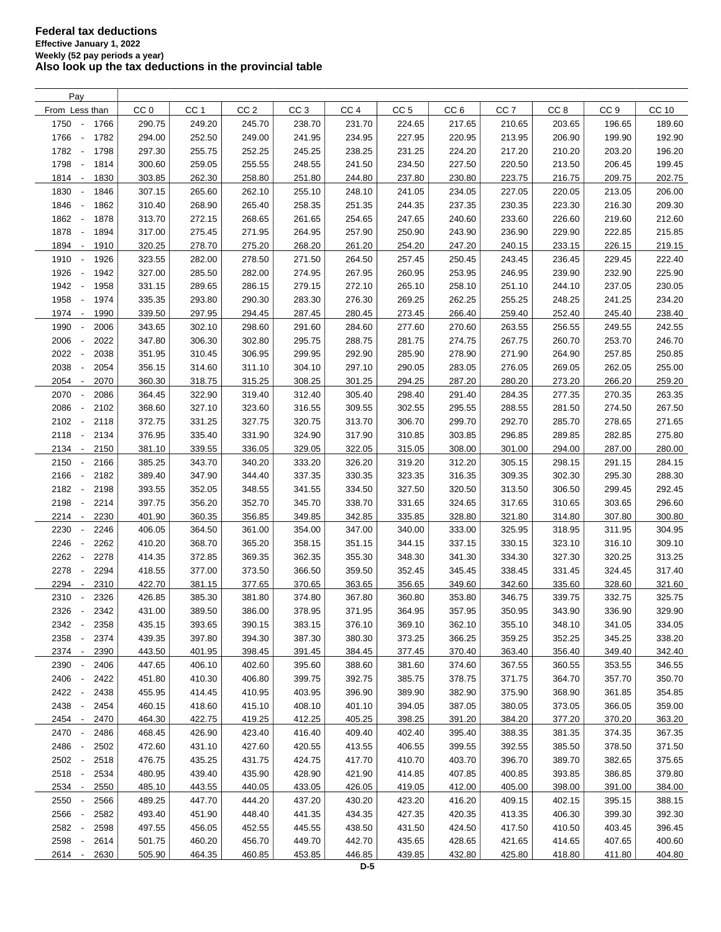| Pay                                      |                 |                 |                 |                 |                 |                 |                 |                 |                 |                 |        |
|------------------------------------------|-----------------|-----------------|-----------------|-----------------|-----------------|-----------------|-----------------|-----------------|-----------------|-----------------|--------|
| From Less than                           | CC <sub>0</sub> | CC <sub>1</sub> | CC <sub>2</sub> | CC <sub>3</sub> | CC <sub>4</sub> | CC <sub>5</sub> | CC <sub>6</sub> | CC <sub>7</sub> | CC <sub>8</sub> | CC <sub>9</sub> | CC 10  |
| 1750<br>1766<br>$\overline{\phantom{a}}$ | 290.75          | 249.20          | 245.70          | 238.70          | 231.70          | 224.65          | 217.65          | 210.65          | 203.65          | 196.65          | 189.60 |
| 1766<br>1782<br>$\overline{\phantom{a}}$ | 294.00          | 252.50          | 249.00          | 241.95          | 234.95          | 227.95          | 220.95          | 213.95          | 206.90          | 199.90          | 192.90 |
| 1782<br>1798<br>$\sim$                   | 297.30          | 255.75          | 252.25          | 245.25          | 238.25          | 231.25          | 224.20          | 217.20          | 210.20          | 203.20          | 196.20 |
| 1798<br>1814                             | 300.60          | 259.05          | 255.55          | 248.55          | 241.50          | 234.50          | 227.50          | 220.50          | 213.50          | 206.45          | 199.45 |
| 1814<br>1830<br>$\overline{\phantom{a}}$ | 303.85          | 262.30          | 258.80          | 251.80          | 244.80          | 237.80          | 230.80          | 223.75          | 216.75          | 209.75          | 202.75 |
| 1830<br>1846<br>$\overline{\phantom{a}}$ | 307.15          | 265.60          | 262.10          | 255.10          | 248.10          | 241.05          | 234.05          | 227.05          | 220.05          | 213.05          | 206.00 |
|                                          |                 |                 |                 |                 |                 |                 |                 |                 |                 |                 |        |
| 1846<br>$\blacksquare$<br>1862           | 310.40          | 268.90          | 265.40          | 258.35          | 251.35          | 244.35          | 237.35          | 230.35          | 223.30          | 216.30          | 209.30 |
| 1862<br>1878<br>$\overline{\phantom{a}}$ | 313.70          | 272.15          | 268.65          | 261.65          | 254.65          | 247.65          | 240.60          | 233.60          | 226.60          | 219.60          | 212.60 |
| 1878<br>$\overline{\phantom{a}}$<br>1894 | 317.00          | 275.45          | 271.95          | 264.95          | 257.90          | 250.90          | 243.90          | 236.90          | 229.90          | 222.85          | 215.85 |
| 1894<br>$\sim$<br>1910                   | 320.25          | 278.70          | 275.20          | 268.20          | 261.20          | 254.20          | 247.20          | 240.15          | 233.15          | 226.15          | 219.15 |
| 1910<br>1926<br>$\overline{\phantom{a}}$ | 323.55          | 282.00          | 278.50          | 271.50          | 264.50          | 257.45          | 250.45          | 243.45          | 236.45          | 229.45          | 222.40 |
| 1926<br>1942<br>$\overline{\phantom{a}}$ | 327.00          | 285.50          | 282.00          | 274.95          | 267.95          | 260.95          | 253.95          | 246.95          | 239.90          | 232.90          | 225.90 |
| 1942<br>1958<br>$\sim$                   | 331.15          | 289.65          | 286.15          | 279.15          | 272.10          | 265.10          | 258.10          | 251.10          | 244.10          | 237.05          | 230.05 |
| 1958<br>1974<br>$\overline{\phantom{a}}$ | 335.35          | 293.80          | 290.30          | 283.30          | 276.30          | 269.25          | 262.25          | 255.25          | 248.25          | 241.25          | 234.20 |
| 1974<br>1990<br>$\overline{\phantom{a}}$ | 339.50          | 297.95          | 294.45          | 287.45          | 280.45          | 273.45          | 266.40          | 259.40          | 252.40          | 245.40          | 238.40 |
| 1990<br>2006                             | 343.65          | 302.10          | 298.60          | 291.60          | 284.60          | 277.60          | 270.60          | 263.55          | 256.55          | 249.55          | 242.55 |
| 2006<br>2022<br>$\overline{\phantom{a}}$ | 347.80          | 306.30          | 302.80          | 295.75          | 288.75          | 281.75          | 274.75          | 267.75          | 260.70          | 253.70          | 246.70 |
| 2022<br>2038<br>$\overline{\phantom{a}}$ | 351.95          | 310.45          | 306.95          | 299.95          | 292.90          | 285.90          | 278.90          | 271.90          | 264.90          | 257.85          | 250.85 |
| 2038<br>2054<br>$\overline{\phantom{a}}$ | 356.15          | 314.60          | 311.10          | 304.10          | 297.10          | 290.05          | 283.05          | 276.05          | 269.05          | 262.05          | 255.00 |
| 2054<br>2070<br>$\overline{\phantom{a}}$ | 360.30          | 318.75          | 315.25          | 308.25          | 301.25          | 294.25          | 287.20          | 280.20          | 273.20          | 266.20          | 259.20 |
| 2070<br>2086<br>$\overline{\phantom{a}}$ | 364.45          | 322.90          | 319.40          | 312.40          | 305.40          | 298.40          | 291.40          | 284.35          | 277.35          | 270.35          | 263.35 |
| 2086<br>2102<br>$\overline{\phantom{a}}$ | 368.60          | 327.10          | 323.60          | 316.55          | 309.55          | 302.55          | 295.55          | 288.55          | 281.50          | 274.50          | 267.50 |
| 2102<br>2118<br>$\overline{\phantom{a}}$ | 372.75          | 331.25          | 327.75          | 320.75          | 313.70          | 306.70          | 299.70          | 292.70          | 285.70          | 278.65          | 271.65 |
| 2118<br>2134<br>$\overline{\phantom{a}}$ | 376.95          | 335.40          | 331.90          | 324.90          | 317.90          | 310.85          | 303.85          | 296.85          | 289.85          | 282.85          | 275.80 |
| 2134<br>2150                             | 381.10          | 339.55          | 336.05          | 329.05          | 322.05          |                 | 308.00          | 301.00          | 294.00          | 287.00          |        |
| $\overline{\phantom{a}}$                 |                 |                 |                 |                 |                 | 315.05          |                 |                 |                 |                 | 280.00 |
| 2150<br>2166<br>÷,                       | 385.25          | 343.70          | 340.20          | 333.20          | 326.20          | 319.20          | 312.20          | 305.15          | 298.15          | 291.15          | 284.15 |
| 2166<br>2182<br>$\overline{\phantom{a}}$ | 389.40          | 347.90          | 344.40          | 337.35          | 330.35          | 323.35          | 316.35          | 309.35          | 302.30          | 295.30          | 288.30 |
| 2182<br>2198<br>$\overline{\phantom{a}}$ | 393.55          | 352.05          | 348.55          | 341.55          | 334.50          | 327.50          | 320.50          | 313.50          | 306.50          | 299.45          | 292.45 |
| 2198<br>2214<br>$\overline{\phantom{a}}$ | 397.75          | 356.20          | 352.70          | 345.70          | 338.70          | 331.65          | 324.65          | 317.65          | 310.65          | 303.65          | 296.60 |
| 2214<br>2230<br>$\overline{\phantom{a}}$ | 401.90          | 360.35          | 356.85          | 349.85          | 342.85          | 335.85          | 328.80          | 321.80          | 314.80          | 307.80          | 300.80 |
| 2230<br>2246<br>$\overline{\phantom{a}}$ | 406.05          | 364.50          | 361.00          | 354.00          | 347.00          | 340.00          | 333.00          | 325.95          | 318.95          | 311.95          | 304.95 |
| 2246<br>2262<br>$\overline{\phantom{a}}$ | 410.20          | 368.70          | 365.20          | 358.15          | 351.15          | 344.15          | 337.15          | 330.15          | 323.10          | 316.10          | 309.10 |
| 2262<br>2278<br>$\overline{\phantom{a}}$ | 414.35          | 372.85          | 369.35          | 362.35          | 355.30          | 348.30          | 341.30          | 334.30          | 327.30          | 320.25          | 313.25 |
| 2278<br>2294<br>$\overline{\phantom{a}}$ | 418.55          | 377.00          | 373.50          | 366.50          | 359.50          | 352.45          | 345.45          | 338.45          | 331.45          | 324.45          | 317.40 |
| 2294<br>2310<br>$\overline{\phantom{a}}$ | 422.70          | 381.15          | 377.65          | 370.65          | 363.65          | 356.65          | 349.60          | 342.60          | 335.60          | 328.60          | 321.60 |
| 2310<br>2326                             | 426.85          | 385.30          | 381.80          | 374.80          | 367.80          | 360.80          | 353.80          | 346.75          | 339.75          | 332.75          | 325.75 |
| 2326<br>2342<br>$\sim$                   | 431.00          | 389.50          | 386.00          | 378.95          | 371.95          | 364.95          | 357.95          | 350.95          | 343.90          | 336.90          | 329.90 |
| 2342<br>2358<br>$\overline{\phantom{a}}$ | 435.15          | 393.65          | 390.15          | 383.15          | 376.10          | 369.10          | 362.10          | 355.10          | 348.10          | 341.05          | 334.05 |
| 2358<br>2374                             | 439.35          | 397.80          | 394.30          | 387.30          | 380.30          | 373.25          | 366.25          | 359.25          | 352.25          | 345.25          | 338.20 |
| 2374 -<br>2390                           | 443.50          | 401.95          | 398.45          | 391.45          | 384.45          | 377.45          | 370.40          | 363.40          | 356.40          | 349.40          | 342.40 |
| 2390<br>2406                             | 447.65          | 406.10          | 402.60          | 395.60          | 388.60          | 381.60          | 374.60          | 367.55          | 360.55          | 353.55          | 346.55 |
| 2406<br>2422                             | 451.80          | 410.30          | 406.80          | 399.75          | 392.75          | 385.75          | 378.75          | 371.75          | 364.70          | 357.70          | 350.70 |
| 2422<br>2438<br>$\overline{\phantom{a}}$ | 455.95          | 414.45          | 410.95          | 403.95          | 396.90          | 389.90          | 382.90          | 375.90          | 368.90          | 361.85          | 354.85 |
| 2438<br>2454<br>$\overline{\phantom{a}}$ | 460.15          | 418.60          | 415.10          | 408.10          | 401.10          | 394.05          | 387.05          | 380.05          | 373.05          | 366.05          | 359.00 |
| 2454 -<br>2470                           | 464.30          | 422.75          | 419.25          | 412.25          | 405.25          | 398.25          | 391.20          | 384.20          | 377.20          | 370.20          | 363.20 |
| 2470<br>2486                             | 468.45          | 426.90          | 423.40          | 416.40          | 409.40          | 402.40          | 395.40          | 388.35          | 381.35          | 374.35          | 367.35 |
| 2486<br>2502<br>$\overline{\phantom{a}}$ | 472.60          | 431.10          | 427.60          | 420.55          | 413.55          | 406.55          | 399.55          | 392.55          | 385.50          | 378.50          | 371.50 |
| 2502 -<br>2518                           | 476.75          | 435.25          | 431.75          | 424.75          | 417.70          | 410.70          | 403.70          | 396.70          | 389.70          | 382.65          | 375.65 |
|                                          |                 |                 |                 |                 |                 |                 |                 |                 |                 |                 |        |
| 2518 -<br>2534                           | 480.95          | 439.40          | 435.90          | 428.90          | 421.90          | 414.85          | 407.85          | 400.85          | 393.85          | 386.85          | 379.80 |
| 2534 -<br>2550                           | 485.10          | 443.55          | 440.05          | 433.05          | 426.05          | 419.05          | 412.00          | 405.00          | 398.00          | 391.00          | 384.00 |
| 2550<br>2566                             | 489.25          | 447.70          | 444.20          | 437.20          | 430.20          | 423.20          | 416.20          | 409.15          | 402.15          | 395.15          | 388.15 |
| 2566<br>2582                             | 493.40          | 451.90          | 448.40          | 441.35          | 434.35          | 427.35          | 420.35          | 413.35          | 406.30          | 399.30          | 392.30 |
| 2582<br>2598                             | 497.55          | 456.05          | 452.55          | 445.55          | 438.50          | 431.50          | 424.50          | 417.50          | 410.50          | 403.45          | 396.45 |
| 2598<br>2614                             | 501.75          | 460.20          | 456.70          | 449.70          | 442.70          | 435.65          | 428.65          | 421.65          | 414.65          | 407.65          | 400.60 |
| 2614 -<br>2630                           | 505.90          | 464.35          | 460.85          | 453.85          | 446.85          | 439.85          | 432.80          | 425.80          | 418.80          | 411.80          | 404.80 |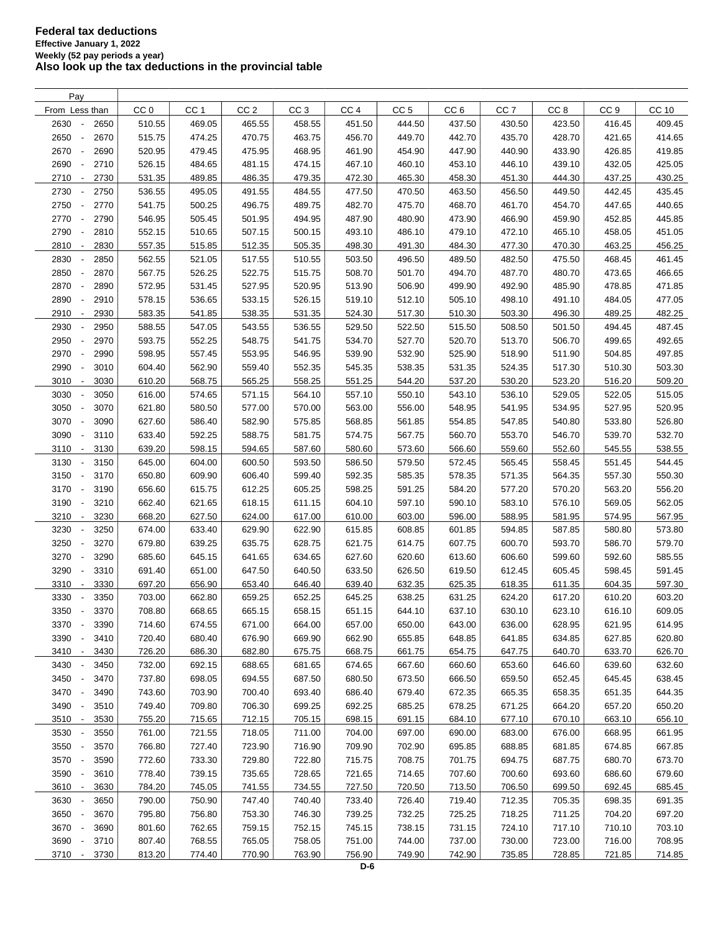| Pay                                      |                 |                 |                 |                 |                 |                 |                 |                 |                 |                 |              |
|------------------------------------------|-----------------|-----------------|-----------------|-----------------|-----------------|-----------------|-----------------|-----------------|-----------------|-----------------|--------------|
| From Less than                           | CC <sub>0</sub> | CC <sub>1</sub> | CC <sub>2</sub> | CC <sub>3</sub> | CC <sub>4</sub> | CC <sub>5</sub> | CC <sub>6</sub> | CC <sub>7</sub> | CC <sub>8</sub> | CC <sub>9</sub> | <b>CC 10</b> |
| 2630<br>2650<br>$\overline{\phantom{a}}$ | 510.55          | 469.05          | 465.55          | 458.55          | 451.50          | 444.50          | 437.50          | 430.50          | 423.50          | 416.45          | 409.45       |
| 2650<br>2670<br>$\overline{\phantom{a}}$ | 515.75          | 474.25          | 470.75          | 463.75          | 456.70          | 449.70          | 442.70          | 435.70          | 428.70          | 421.65          | 414.65       |
| 2670<br>2690                             | 520.95          | 479.45          | 475.95          | 468.95          | 461.90          | 454.90          | 447.90          | 440.90          | 433.90          | 426.85          | 419.85       |
| 2690<br>2710<br>$\overline{\phantom{a}}$ | 526.15          | 484.65          | 481.15          | 474.15          | 467.10          | 460.10          | 453.10          | 446.10          | 439.10          | 432.05          | 425.05       |
| 2710<br>2730<br>$\overline{\phantom{a}}$ | 531.35          | 489.85          | 486.35          | 479.35          | 472.30          | 465.30          | 458.30          | 451.30          | 444.30          | 437.25          | 430.25       |
| 2730<br>2750<br>$\overline{\phantom{a}}$ | 536.55          | 495.05          | 491.55          | 484.55          | 477.50          | 470.50          | 463.50          | 456.50          | 449.50          | 442.45          | 435.45       |
|                                          | 541.75          | 500.25          | 496.75          | 489.75          | 482.70          | 475.70          | 468.70          | 461.70          | 454.70          | 447.65          | 440.65       |
| 2750<br>2770<br>$\overline{\phantom{a}}$ |                 |                 |                 |                 |                 |                 |                 |                 |                 |                 |              |
| 2770<br>2790<br>$\overline{\phantom{a}}$ | 546.95          | 505.45          | 501.95          | 494.95          | 487.90          | 480.90          | 473.90          | 466.90          | 459.90          | 452.85          | 445.85       |
| 2790<br>2810<br>$\overline{\phantom{a}}$ | 552.15          | 510.65          | 507.15          | 500.15          | 493.10          | 486.10          | 479.10          | 472.10          | 465.10          | 458.05          | 451.05       |
| 2810<br>2830<br>$\overline{\phantom{a}}$ | 557.35          | 515.85          | 512.35          | 505.35          | 498.30          | 491.30          | 484.30          | 477.30          | 470.30          | 463.25          | 456.25       |
| 2830<br>2850                             | 562.55          | 521.05          | 517.55          | 510.55          | 503.50          | 496.50          | 489.50          | 482.50          | 475.50          | 468.45          | 461.45       |
| 2850<br>2870                             | 567.75          | 526.25          | 522.75          | 515.75          | 508.70          | 501.70          | 494.70          | 487.70          | 480.70          | 473.65          | 466.65       |
| 2870<br>2890<br>÷,                       | 572.95          | 531.45          | 527.95          | 520.95          | 513.90          | 506.90          | 499.90          | 492.90          | 485.90          | 478.85          | 471.85       |
| 2890<br>2910                             | 578.15          | 536.65          | 533.15          | 526.15          | 519.10          | 512.10          | 505.10          | 498.10          | 491.10          | 484.05          | 477.05       |
| 2910<br>2930<br>$\overline{\phantom{a}}$ | 583.35          | 541.85          | 538.35          | 531.35          | 524.30          | 517.30          | 510.30          | 503.30          | 496.30          | 489.25          | 482.25       |
| 2930<br>2950                             | 588.55          | 547.05          | 543.55          | 536.55          | 529.50          | 522.50          | 515.50          | 508.50          | 501.50          | 494.45          | 487.45       |
| 2950<br>2970<br>÷,                       | 593.75          | 552.25          | 548.75          | 541.75          | 534.70          | 527.70          | 520.70          | 513.70          | 506.70          | 499.65          | 492.65       |
| 2970<br>2990<br>$\overline{\phantom{a}}$ | 598.95          | 557.45          | 553.95          | 546.95          | 539.90          | 532.90          | 525.90          | 518.90          | 511.90          | 504.85          | 497.85       |
| 2990<br>3010<br>$\overline{\phantom{a}}$ | 604.40          | 562.90          | 559.40          | 552.35          | 545.35          | 538.35          | 531.35          | 524.35          | 517.30          | 510.30          | 503.30       |
| 3010<br>3030<br>$\overline{\phantom{a}}$ | 610.20          | 568.75          | 565.25          | 558.25          | 551.25          | 544.20          | 537.20          | 530.20          | 523.20          | 516.20          | 509.20       |
| 3030<br>3050                             | 616.00          | 574.65          | 571.15          | 564.10          | 557.10          | 550.10          | 543.10          | 536.10          | 529.05          | 522.05          | 515.05       |
| 3050<br>3070<br>$\overline{\phantom{a}}$ | 621.80          | 580.50          | 577.00          | 570.00          | 563.00          | 556.00          | 548.95          | 541.95          | 534.95          | 527.95          | 520.95       |
| 3070<br>3090<br>$\overline{\phantom{a}}$ | 627.60          | 586.40          | 582.90          | 575.85          | 568.85          | 561.85          | 554.85          | 547.85          | 540.80          | 533.80          | 526.80       |
| 3090<br>3110                             | 633.40          | 592.25          | 588.75          | 581.75          | 574.75          | 567.75          | 560.70          | 553.70          | 546.70          | 539.70          | 532.70       |
| 3110<br>3130<br>$\overline{\phantom{a}}$ | 639.20          | 598.15          | 594.65          | 587.60          | 580.60          | 573.60          | 566.60          | 559.60          | 552.60          | 545.55          | 538.55       |
| 3130<br>3150<br>$\overline{\phantom{a}}$ | 645.00          | 604.00          | 600.50          | 593.50          | 586.50          | 579.50          | 572.45          | 565.45          | 558.45          | 551.45          | 544.45       |
| 3150<br>3170<br>$\overline{\phantom{a}}$ | 650.80          | 609.90          | 606.40          | 599.40          | 592.35          | 585.35          | 578.35          | 571.35          | 564.35          | 557.30          | 550.30       |
| 3170<br>3190<br>$\overline{\phantom{a}}$ | 656.60          | 615.75          | 612.25          |                 | 598.25          | 591.25          |                 |                 |                 |                 | 556.20       |
|                                          |                 |                 |                 | 605.25          |                 |                 | 584.20          | 577.20          | 570.20          | 563.20          |              |
| 3190<br>3210<br>$\overline{\phantom{a}}$ | 662.40          | 621.65          | 618.15          | 611.15          | 604.10          | 597.10          | 590.10          | 583.10          | 576.10          | 569.05          | 562.05       |
| 3210<br>3230<br>$\overline{\phantom{a}}$ | 668.20          | 627.50          | 624.00          | 617.00          | 610.00          | 603.00          | 596.00          | 588.95          | 581.95          | 574.95          | 567.95       |
| 3230<br>3250<br>$\overline{\phantom{a}}$ | 674.00          | 633.40          | 629.90          | 622.90          | 615.85          | 608.85          | 601.85          | 594.85          | 587.85          | 580.80          | 573.80       |
| 3250<br>3270<br>$\overline{\phantom{a}}$ | 679.80          | 639.25          | 635.75          | 628.75          | 621.75          | 614.75          | 607.75          | 600.70          | 593.70          | 586.70          | 579.70       |
| 3270<br>3290<br>$\overline{\phantom{a}}$ | 685.60          | 645.15          | 641.65          | 634.65          | 627.60          | 620.60          | 613.60          | 606.60          | 599.60          | 592.60          | 585.55       |
| 3290<br>3310<br>$\overline{\phantom{a}}$ | 691.40          | 651.00          | 647.50          | 640.50          | 633.50          | 626.50          | 619.50          | 612.45          | 605.45          | 598.45          | 591.45       |
| 3310<br>3330<br>$\overline{\phantom{a}}$ | 697.20          | 656.90          | 653.40          | 646.40          | 639.40          | 632.35          | 625.35          | 618.35          | 611.35          | 604.35          | 597.30       |
| 3330<br>3350                             | 703.00          | 662.80          | 659.25          | 652.25          | 645.25          | 638.25          | 631.25          | 624.20          | 617.20          | 610.20          | 603.20       |
| 3350<br>3370<br>$\overline{\phantom{a}}$ | 708.80          | 668.65          | 665.15          | 658.15          | 651.15          | 644.10          | 637.10          | 630.10          | 623.10          | 616.10          | 609.05       |
| 3370<br>3390<br>$\overline{\phantom{a}}$ | 714.60          | 674.55          | 671.00          | 664.00          | 657.00          | 650.00          | 643.00          | 636.00          | 628.95          | 621.95          | 614.95       |
| 3390<br>3410                             | 720.40          | 680.40          | 676.90          | 669.90          | 662.90          | 655.85          | 648.85          | 641.85          | 634.85          | 627.85          | 620.80       |
| 3410<br>3430<br>$\overline{\phantom{a}}$ | 726.20          | 686.30          | 682.80          | 675.75          | 668.75          | 661.75          | 654.75          | 647.75          | 640.70          | 633.70          | 626.70       |
| 3430<br>3450                             | 732.00          | 692.15          | 688.65          | 681.65          | 674.65          | 667.60          | 660.60          | 653.60          | 646.60          | 639.60          | 632.60       |
| 3450<br>3470<br>$\overline{\phantom{a}}$ | 737.80          | 698.05          | 694.55          | 687.50          | 680.50          | 673.50          | 666.50          | 659.50          | 652.45          | 645.45          | 638.45       |
| 3470<br>3490<br>$\overline{\phantom{a}}$ | 743.60          | 703.90          | 700.40          | 693.40          | 686.40          | 679.40          | 672.35          | 665.35          | 658.35          | 651.35          | 644.35       |
| 3490<br>3510<br>$\overline{\phantom{a}}$ | 749.40          | 709.80          | 706.30          | 699.25          | 692.25          | 685.25          | 678.25          | 671.25          | 664.20          | 657.20          | 650.20       |
| 3510 -<br>3530                           | 755.20          | 715.65          | 712.15          | 705.15          | 698.15          | 691.15          | 684.10          | 677.10          | 670.10          | 663.10          | 656.10       |
| 3530<br>3550                             | 761.00          | 721.55          | 718.05          | 711.00          | 704.00          | 697.00          | 690.00          | 683.00          | 676.00          | 668.95          | 661.95       |
| 3550<br>3570<br>$\overline{\phantom{a}}$ | 766.80          | 727.40          | 723.90          | 716.90          | 709.90          | 702.90          | 695.85          | 688.85          | 681.85          | 674.85          | 667.85       |
| 3570 -<br>3590                           | 772.60          | 733.30          | 729.80          | 722.80          | 715.75          | 708.75          | 701.75          | 694.75          | 687.75          | 680.70          | 673.70       |
| 3590<br>3610                             | 778.40          | 739.15          | 735.65          | 728.65          | 721.65          | 714.65          | 707.60          | 700.60          | 693.60          | 686.60          | 679.60       |
| 3610 -<br>3630                           | 784.20          | 745.05          | 741.55          | 734.55          | 727.50          | 720.50          | 713.50          | 706.50          | 699.50          | 692.45          | 685.45       |
| 3630<br>3650                             | 790.00          | 750.90          | 747.40          | 740.40          | 733.40          | 726.40          | 719.40          | 712.35          | 705.35          | 698.35          | 691.35       |
| 3650<br>3670<br>$\overline{\phantom{a}}$ | 795.80          | 756.80          | 753.30          | 746.30          | 739.25          | 732.25          | 725.25          | 718.25          | 711.25          | 704.20          | 697.20       |
|                                          |                 |                 |                 |                 |                 |                 |                 |                 |                 |                 |              |
| 3670 -<br>3690                           | 801.60          | 762.65          | 759.15          | 752.15          | 745.15          | 738.15          | 731.15          | 724.10          | 717.10          | 710.10          | 703.10       |
| 3690<br>3710<br>$\overline{\phantom{a}}$ | 807.40          | 768.55          | 765.05          | 758.05          | 751.00          | 744.00          | 737.00          | 730.00          | 723.00          | 716.00          | 708.95       |
| 3710 -<br>3730                           | 813.20          | 774.40          | 770.90          | 763.90          | 756.90          | 749.90          | 742.90          | 735.85          | 728.85          | 721.85          | 714.85       |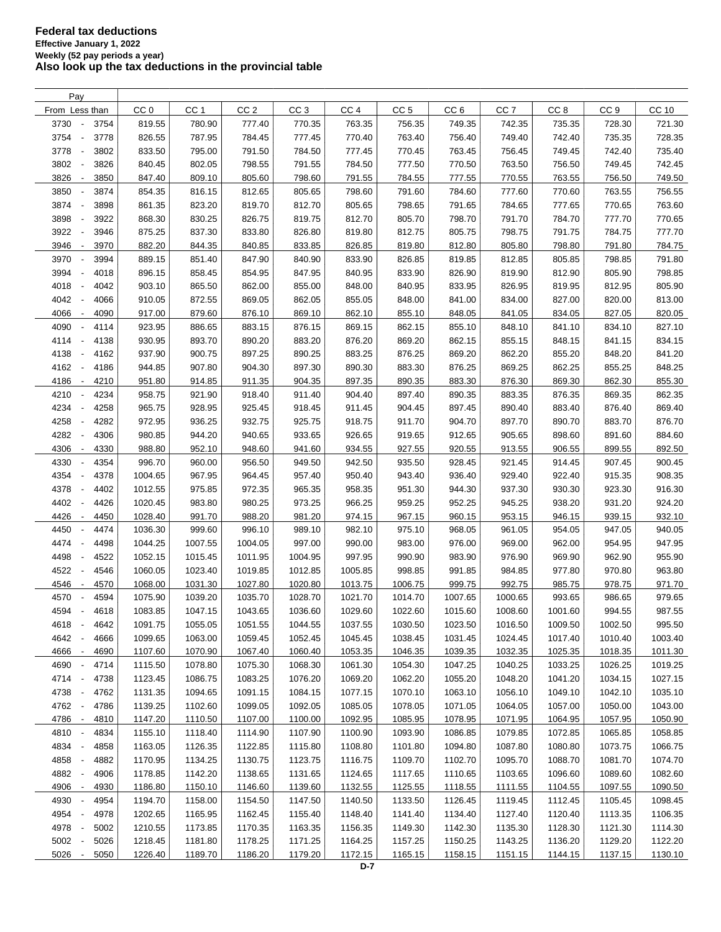| Pay                                      |                 |                 |                 |                 |                 |                 |                 |                 |                 |                 |         |
|------------------------------------------|-----------------|-----------------|-----------------|-----------------|-----------------|-----------------|-----------------|-----------------|-----------------|-----------------|---------|
| From Less than                           | CC <sub>0</sub> | CC <sub>1</sub> | CC <sub>2</sub> | CC <sub>3</sub> | CC <sub>4</sub> | CC <sub>5</sub> | CC <sub>6</sub> | CC <sub>7</sub> | CC <sub>8</sub> | CC <sub>9</sub> | CC 10   |
| 3730<br>3754<br>$\overline{\phantom{a}}$ | 819.55          | 780.90          | 777.40          | 770.35          | 763.35          | 756.35          | 749.35          | 742.35          | 735.35          | 728.30          | 721.30  |
| 3754<br>3778<br>$\overline{\phantom{a}}$ | 826.55          | 787.95          | 784.45          | 777.45          | 770.40          | 763.40          | 756.40          | 749.40          | 742.40          | 735.35          | 728.35  |
| 3778<br>3802<br>$\overline{\phantom{a}}$ | 833.50          | 795.00          | 791.50          | 784.50          | 777.45          | 770.45          | 763.45          | 756.45          | 749.45          | 742.40          | 735.40  |
| 3802<br>3826                             | 840.45          | 802.05          | 798.55          | 791.55          | 784.50          | 777.50          | 770.50          | 763.50          | 756.50          | 749.45          | 742.45  |
| 3826<br>3850<br>$\overline{\phantom{a}}$ | 847.40          | 809.10          | 805.60          | 798.60          | 791.55          | 784.55          | 777.55          | 770.55          | 763.55          | 756.50          | 749.50  |
| 3850<br>3874                             | 854.35          | 816.15          | 812.65          | 805.65          | 798.60          | 791.60          | 784.60          | 777.60          | 770.60          | 763.55          | 756.55  |
| 3874<br>3898<br>$\overline{\phantom{a}}$ | 861.35          | 823.20          | 819.70          | 812.70          | 805.65          | 798.65          | 791.65          | 784.65          | 777.65          | 770.65          | 763.60  |
| 3898<br>3922<br>$\overline{\phantom{a}}$ | 868.30          | 830.25          | 826.75          | 819.75          | 812.70          | 805.70          | 798.70          | 791.70          | 784.70          | 777.70          | 770.65  |
| 3922<br>3946<br>$\overline{\phantom{a}}$ | 875.25          | 837.30          | 833.80          | 826.80          | 819.80          | 812.75          | 805.75          | 798.75          | 791.75          | 784.75          | 777.70  |
|                                          |                 |                 |                 |                 |                 |                 |                 |                 | 798.80          |                 |         |
| 3946<br>3970<br>$\overline{\phantom{a}}$ | 882.20          | 844.35          | 840.85          | 833.85          | 826.85          | 819.80          | 812.80          | 805.80          |                 | 791.80          | 784.75  |
| 3970<br>3994                             | 889.15          | 851.40          | 847.90          | 840.90          | 833.90          | 826.85          | 819.85          | 812.85          | 805.85          | 798.85          | 791.80  |
| 3994<br>4018<br>$\overline{\phantom{a}}$ | 896.15          | 858.45          | 854.95          | 847.95          | 840.95          | 833.90          | 826.90          | 819.90          | 812.90          | 805.90          | 798.85  |
| 4018<br>4042<br>$\overline{\phantom{a}}$ | 903.10          | 865.50          | 862.00          | 855.00          | 848.00          | 840.95          | 833.95          | 826.95          | 819.95          | 812.95          | 805.90  |
| 4042<br>4066                             | 910.05          | 872.55          | 869.05          | 862.05          | 855.05          | 848.00          | 841.00          | 834.00          | 827.00          | 820.00          | 813.00  |
| 4066<br>4090<br>$\overline{\phantom{a}}$ | 917.00          | 879.60          | 876.10          | 869.10          | 862.10          | 855.10          | 848.05          | 841.05          | 834.05          | 827.05          | 820.05  |
| 4090<br>4114<br>$\overline{\phantom{a}}$ | 923.95          | 886.65          | 883.15          | 876.15          | 869.15          | 862.15          | 855.10          | 848.10          | 841.10          | 834.10          | 827.10  |
| 4114<br>4138<br>$\overline{\phantom{a}}$ | 930.95          | 893.70          | 890.20          | 883.20          | 876.20          | 869.20          | 862.15          | 855.15          | 848.15          | 841.15          | 834.15  |
| 4138<br>4162<br>$\overline{\phantom{a}}$ | 937.90          | 900.75          | 897.25          | 890.25          | 883.25          | 876.25          | 869.20          | 862.20          | 855.20          | 848.20          | 841.20  |
| 4162<br>4186<br>$\overline{\phantom{a}}$ | 944.85          | 907.80          | 904.30          | 897.30          | 890.30          | 883.30          | 876.25          | 869.25          | 862.25          | 855.25          | 848.25  |
| 4186<br>4210<br>$\overline{\phantom{a}}$ | 951.80          | 914.85          | 911.35          | 904.35          | 897.35          | 890.35          | 883.30          | 876.30          | 869.30          | 862.30          | 855.30  |
| 4210<br>4234<br>$\overline{\phantom{a}}$ | 958.75          | 921.90          | 918.40          | 911.40          | 904.40          | 897.40          | 890.35          | 883.35          | 876.35          | 869.35          | 862.35  |
| 4234<br>4258<br>$\overline{\phantom{a}}$ | 965.75          | 928.95          | 925.45          | 918.45          | 911.45          | 904.45          | 897.45          | 890.40          | 883.40          | 876.40          | 869.40  |
| 4258<br>4282<br>$\overline{\phantom{a}}$ | 972.95          | 936.25          | 932.75          | 925.75          | 918.75          | 911.70          | 904.70          | 897.70          | 890.70          | 883.70          | 876.70  |
| 4282<br>4306<br>$\overline{\phantom{a}}$ | 980.85          | 944.20          | 940.65          | 933.65          | 926.65          | 919.65          | 912.65          | 905.65          | 898.60          | 891.60          | 884.60  |
| 4306<br>4330<br>$\overline{\phantom{a}}$ | 988.80          | 952.10          | 948.60          | 941.60          | 934.55          | 927.55          | 920.55          | 913.55          | 906.55          | 899.55          | 892.50  |
| 4330<br>4354                             | 996.70          | 960.00          | 956.50          | 949.50          | 942.50          | 935.50          | 928.45          | 921.45          | 914.45          | 907.45          | 900.45  |
| 4354<br>4378<br>$\overline{\phantom{a}}$ | 1004.65         | 967.95          | 964.45          | 957.40          | 950.40          | 943.40          | 936.40          | 929.40          | 922.40          | 915.35          | 908.35  |
| 4378<br>4402<br>$\overline{\phantom{a}}$ | 1012.55         | 975.85          | 972.35          | 965.35          | 958.35          | 951.30          | 944.30          | 937.30          | 930.30          | 923.30          | 916.30  |
| 4402<br>4426                             | 1020.45         | 983.80          | 980.25          | 973.25          | 966.25          | 959.25          | 952.25          | 945.25          | 938.20          | 931.20          | 924.20  |
| 4426<br>4450<br>$\overline{\phantom{a}}$ | 1028.40         | 991.70          | 988.20          | 981.20          | 974.15          | 967.15          | 960.15          | 953.15          | 946.15          | 939.15          | 932.10  |
| 4450<br>4474<br>$\overline{\phantom{a}}$ | 1036.30         | 999.60          | 996.10          | 989.10          | 982.10          | 975.10          | 968.05          | 961.05          | 954.05          | 947.05          | 940.05  |
| 4474<br>4498<br>$\overline{\phantom{a}}$ | 1044.25         | 1007.55         | 1004.05         | 997.00          | 990.00          | 983.00          | 976.00          | 969.00          | 962.00          | 954.95          | 947.95  |
| 4498<br>4522<br>$\blacksquare$           | 1052.15         | 1015.45         | 1011.95         | 1004.95         | 997.95          | 990.90          | 983.90          | 976.90          | 969.90          | 962.90          | 955.90  |
| 4522<br>4546<br>$\overline{\phantom{a}}$ | 1060.05         | 1023.40         | 1019.85         | 1012.85         | 1005.85         | 998.85          | 991.85          | 984.85          | 977.80          | 970.80          | 963.80  |
| 4546<br>4570<br>$\overline{\phantom{a}}$ | 1068.00         | 1031.30         | 1027.80         | 1020.80         | 1013.75         | 1006.75         | 999.75          | 992.75          | 985.75          | 978.75          | 971.70  |
| 4570<br>4594                             | 1075.90         | 1039.20         | 1035.70         | 1028.70         | 1021.70         | 1014.70         | 1007.65         | 1000.65         | 993.65          | 986.65          | 979.65  |
| 4594<br>4618                             | 1083.85         | 1047.15         | 1043.65         | 1036.60         | 1029.60         |                 | 1015.60         | 1008.60         | 1001.60         | 994.55          | 987.55  |
| $\overline{\phantom{a}}$                 |                 |                 |                 |                 |                 | 1022.60         |                 |                 |                 |                 |         |
| 4618<br>$\overline{\phantom{a}}$<br>4642 | 1091.75         | 1055.05         | 1051.55         | 1044.55         | 1037.55         | 1030.50         | 1023.50         | 1016.50         | 1009.50         | 1002.50         | 995.50  |
| 4642<br>4666                             | 1099.65         | 1063.00         | 1059.45         | 1052.45         | 1045.45         | 1038.45         | 1031.45         | 1024.45         | 1017.40         | 1010.40         | 1003.40 |
| 4666<br>4690<br>$\overline{\phantom{a}}$ | 1107.60         | 1070.90         | 1067.40         | 1060.40         | 1053.35         | 1046.35         | 1039.35         | 1032.35         | 1025.35         | 1018.35         | 1011.30 |
| 4690<br>4714                             | 1115.50         | 1078.80         | 1075.30         | 1068.30         | 1061.30         | 1054.30         | 1047.25         | 1040.25         | 1033.25         | 1026.25         | 1019.25 |
| 4714<br>4738<br>$\overline{\phantom{a}}$ | 1123.45         | 1086.75         | 1083.25         | 1076.20         | 1069.20         | 1062.20         | 1055.20         | 1048.20         | 1041.20         | 1034.15         | 1027.15 |
| 4738<br>4762<br>$\overline{\phantom{a}}$ | 1131.35         | 1094.65         | 1091.15         | 1084.15         | 1077.15         | 1070.10         | 1063.10         | 1056.10         | 1049.10         | 1042.10         | 1035.10 |
| 4762<br>4786<br>$\overline{\phantom{a}}$ | 1139.25         | 1102.60         | 1099.05         | 1092.05         | 1085.05         | 1078.05         | 1071.05         | 1064.05         | 1057.00         | 1050.00         | 1043.00 |
| 4786 -<br>4810                           | 1147.20         | 1110.50         | 1107.00         | 1100.00         | 1092.95         | 1085.95         | 1078.95         | 1071.95         | 1064.95         | 1057.95         | 1050.90 |
| 4810 -<br>4834                           | 1155.10         | 1118.40         | 1114.90         | 1107.90         | 1100.90         | 1093.90         | 1086.85         | 1079.85         | 1072.85         | 1065.85         | 1058.85 |
| 4834<br>4858<br>$\overline{\phantom{a}}$ | 1163.05         | 1126.35         | 1122.85         | 1115.80         | 1108.80         | 1101.80         | 1094.80         | 1087.80         | 1080.80         | 1073.75         | 1066.75 |
| 4858<br>4882<br>$\overline{\phantom{a}}$ | 1170.95         | 1134.25         | 1130.75         | 1123.75         | 1116.75         | 1109.70         | 1102.70         | 1095.70         | 1088.70         | 1081.70         | 1074.70 |
| 4882<br>4906<br>$\overline{\phantom{a}}$ | 1178.85         | 1142.20         | 1138.65         | 1131.65         | 1124.65         | 1117.65         | 1110.65         | 1103.65         | 1096.60         | 1089.60         | 1082.60 |
| 4906<br>4930<br>$\overline{\phantom{a}}$ | 1186.80         | 1150.10         | 1146.60         | 1139.60         | 1132.55         | 1125.55         | 1118.55         | 1111.55         | 1104.55         | 1097.55         | 1090.50 |
| 4930<br>4954<br>$\overline{\phantom{a}}$ | 1194.70         | 1158.00         | 1154.50         | 1147.50         | 1140.50         | 1133.50         | 1126.45         | 1119.45         | 1112.45         | 1105.45         | 1098.45 |
| 4954<br>4978<br>$\overline{\phantom{a}}$ | 1202.65         | 1165.95         | 1162.45         | 1155.40         | 1148.40         | 1141.40         | 1134.40         | 1127.40         | 1120.40         | 1113.35         | 1106.35 |
| 4978<br>5002<br>$\overline{\phantom{a}}$ | 1210.55         | 1173.85         | 1170.35         | 1163.35         | 1156.35         | 1149.30         | 1142.30         | 1135.30         | 1128.30         | 1121.30         | 1114.30 |
| 5002<br>5026<br>$\overline{\phantom{a}}$ | 1218.45         | 1181.80         | 1178.25         | 1171.25         | 1164.25         | 1157.25         | 1150.25         | 1143.25         | 1136.20         | 1129.20         | 1122.20 |
| 5026<br>5050<br>$\overline{\phantom{a}}$ | 1226.40         | 1189.70         | 1186.20         | 1179.20         | 1172.15         | 1165.15         | 1158.15         | 1151.15         | 1144.15         | 1137.15         | 1130.10 |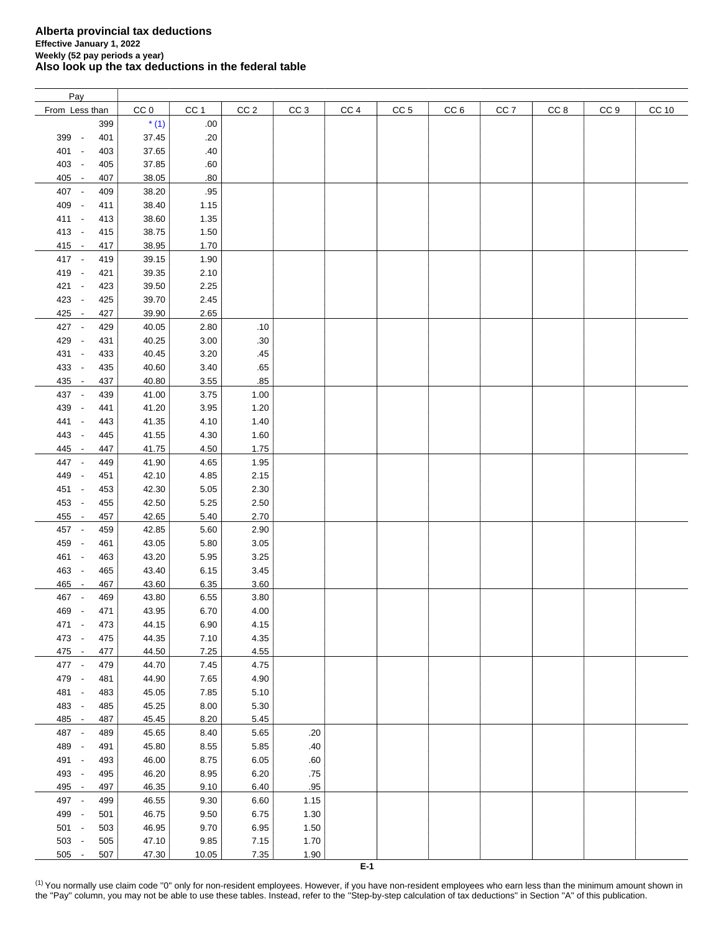| Pay                             |     |                 |                 |                 |                 |                 |                 |                 |                 |                 |                 |              |
|---------------------------------|-----|-----------------|-----------------|-----------------|-----------------|-----------------|-----------------|-----------------|-----------------|-----------------|-----------------|--------------|
| From Less than                  |     | CC <sub>0</sub> | CC <sub>1</sub> | CC <sub>2</sub> | CC <sub>3</sub> | CC <sub>4</sub> | CC <sub>5</sub> | CC <sub>6</sub> | CC <sub>7</sub> | CC <sub>8</sub> | CC <sub>9</sub> | <b>CC 10</b> |
|                                 | 399 | $*(1)$          | .00             |                 |                 |                 |                 |                 |                 |                 |                 |              |
| 399 -                           | 401 | 37.45           | .20             |                 |                 |                 |                 |                 |                 |                 |                 |              |
| 401 -                           | 403 | 37.65           | .40             |                 |                 |                 |                 |                 |                 |                 |                 |              |
| 403 -                           |     |                 |                 |                 |                 |                 |                 |                 |                 |                 |                 |              |
|                                 | 405 | 37.85           | .60             |                 |                 |                 |                 |                 |                 |                 |                 |              |
| 405 -                           | 407 | 38.05           | .80             |                 |                 |                 |                 |                 |                 |                 |                 |              |
| 407 -                           | 409 | 38.20           | .95             |                 |                 |                 |                 |                 |                 |                 |                 |              |
| 409 -                           | 411 | 38.40           | 1.15            |                 |                 |                 |                 |                 |                 |                 |                 |              |
| 411 -                           | 413 | 38.60           | 1.35            |                 |                 |                 |                 |                 |                 |                 |                 |              |
| 413 -                           | 415 | 38.75           | 1.50            |                 |                 |                 |                 |                 |                 |                 |                 |              |
| $415 -$                         | 417 | 38.95           | 1.70            |                 |                 |                 |                 |                 |                 |                 |                 |              |
| 417 -                           | 419 | 39.15           | 1.90            |                 |                 |                 |                 |                 |                 |                 |                 |              |
| 419 -                           | 421 | 39.35           | 2.10            |                 |                 |                 |                 |                 |                 |                 |                 |              |
| 421 -                           | 423 | 39.50           | 2.25            |                 |                 |                 |                 |                 |                 |                 |                 |              |
| 423 -                           | 425 | 39.70           | 2.45            |                 |                 |                 |                 |                 |                 |                 |                 |              |
| 425 -                           | 427 | 39.90           | 2.65            |                 |                 |                 |                 |                 |                 |                 |                 |              |
| 427 -                           | 429 | 40.05           | 2.80            | .10             |                 |                 |                 |                 |                 |                 |                 |              |
| 429 -                           | 431 | 40.25           | 3.00            | .30             |                 |                 |                 |                 |                 |                 |                 |              |
| 431 -                           | 433 | 40.45           | 3.20            | .45             |                 |                 |                 |                 |                 |                 |                 |              |
|                                 |     |                 |                 |                 |                 |                 |                 |                 |                 |                 |                 |              |
| 433 -                           | 435 | 40.60           | 3.40            | .65             |                 |                 |                 |                 |                 |                 |                 |              |
| 435 -                           | 437 | 40.80           | 3.55            | .85             |                 |                 |                 |                 |                 |                 |                 |              |
| 437 -                           | 439 | 41.00           | 3.75            | 1.00            |                 |                 |                 |                 |                 |                 |                 |              |
| 439<br>$\sim$                   | 441 | 41.20           | 3.95            | 1.20            |                 |                 |                 |                 |                 |                 |                 |              |
| 441<br>$\overline{\phantom{a}}$ | 443 | 41.35           | 4.10            | 1.40            |                 |                 |                 |                 |                 |                 |                 |              |
| 443<br>$\sim$                   | 445 | 41.55           | 4.30            | 1.60            |                 |                 |                 |                 |                 |                 |                 |              |
| 445 -                           | 447 | 41.75           | 4.50            | 1.75            |                 |                 |                 |                 |                 |                 |                 |              |
| 447 -                           | 449 | 41.90           | 4.65            | 1.95            |                 |                 |                 |                 |                 |                 |                 |              |
| 449<br>$\sim$                   | 451 | 42.10           | 4.85            | 2.15            |                 |                 |                 |                 |                 |                 |                 |              |
| 451 -                           | 453 | 42.30           | 5.05            | 2.30            |                 |                 |                 |                 |                 |                 |                 |              |
| 453 -                           | 455 | 42.50           | 5.25            | 2.50            |                 |                 |                 |                 |                 |                 |                 |              |
| 455 -                           | 457 | 42.65           | 5.40            | 2.70            |                 |                 |                 |                 |                 |                 |                 |              |
| 457 -                           | 459 | 42.85           | 5.60            | 2.90            |                 |                 |                 |                 |                 |                 |                 |              |
| 459 -                           | 461 | 43.05           | 5.80            | 3.05            |                 |                 |                 |                 |                 |                 |                 |              |
| 461 -                           | 463 | 43.20           | 5.95            | 3.25            |                 |                 |                 |                 |                 |                 |                 |              |
| 463 -                           | 465 | 43.40           | 6.15            | 3.45            |                 |                 |                 |                 |                 |                 |                 |              |
| 465 -                           | 467 | 43.60           | 6.35            | 3.60            |                 |                 |                 |                 |                 |                 |                 |              |
| 467 -                           | 469 | 43.80           | 6.55            | 3.80            |                 |                 |                 |                 |                 |                 |                 |              |
|                                 |     |                 |                 |                 |                 |                 |                 |                 |                 |                 |                 |              |
| 469<br>$\sim$                   | 471 | 43.95           | 6.70            | 4.00            |                 |                 |                 |                 |                 |                 |                 |              |
| 471 -                           | 473 | 44.15           | 6.90            | 4.15            |                 |                 |                 |                 |                 |                 |                 |              |
| 473 -                           | 475 | 44.35           | 7.10            | 4.35            |                 |                 |                 |                 |                 |                 |                 |              |
| $475 -$                         | 477 | 44.50           | 7.25            | 4.55            |                 |                 |                 |                 |                 |                 |                 |              |
| 477 -                           | 479 | 44.70           | 7.45            | 4.75            |                 |                 |                 |                 |                 |                 |                 |              |
| 479 -                           | 481 | 44.90           | 7.65            | 4.90            |                 |                 |                 |                 |                 |                 |                 |              |
| 481 -                           | 483 | 45.05           | 7.85            | 5.10            |                 |                 |                 |                 |                 |                 |                 |              |
| 483 -                           | 485 | 45.25           | 8.00            | 5.30            |                 |                 |                 |                 |                 |                 |                 |              |
| 485 -                           | 487 | 45.45           | 8.20            | 5.45            |                 |                 |                 |                 |                 |                 |                 |              |
| 487 -                           | 489 | 45.65           | 8.40            | 5.65            | .20             |                 |                 |                 |                 |                 |                 |              |
| 489 -                           | 491 | 45.80           | 8.55            | 5.85            | .40             |                 |                 |                 |                 |                 |                 |              |
| 491 -                           | 493 | 46.00           | 8.75            | 6.05            | .60             |                 |                 |                 |                 |                 |                 |              |
| 493 -                           | 495 | 46.20           | 8.95            | 6.20            | .75             |                 |                 |                 |                 |                 |                 |              |
| 495 -                           | 497 | 46.35           | 9.10            | 6.40            | .95             |                 |                 |                 |                 |                 |                 |              |
| 497 -                           | 499 | 46.55           | 9.30            | 6.60            | 1.15            |                 |                 |                 |                 |                 |                 |              |
| 499 -                           | 501 | 46.75           | 9.50            | 6.75            | 1.30            |                 |                 |                 |                 |                 |                 |              |
| 501 -                           | 503 | 46.95           | 9.70            | 6.95            | 1.50            |                 |                 |                 |                 |                 |                 |              |
| 503 -                           | 505 | 47.10           | 9.85            | 7.15            | 1.70            |                 |                 |                 |                 |                 |                 |              |
| $505 -$                         | 507 | 47.30           |                 |                 | 1.90            |                 |                 |                 |                 |                 |                 |              |
|                                 |     |                 | 10.05           | 7.35            |                 |                 |                 |                 |                 |                 |                 |              |

<span id="page-7-0"></span><sup>(1)</sup> You normally use claim code "0" only for non-resident employees. However, if you have non-resident employees who earn less than the minimum amount shown in the "Pay" column, you may not be able to use these tables. Instead, refer to the "Step-by-step calculation of tax deductions" in Section "A" of this publication.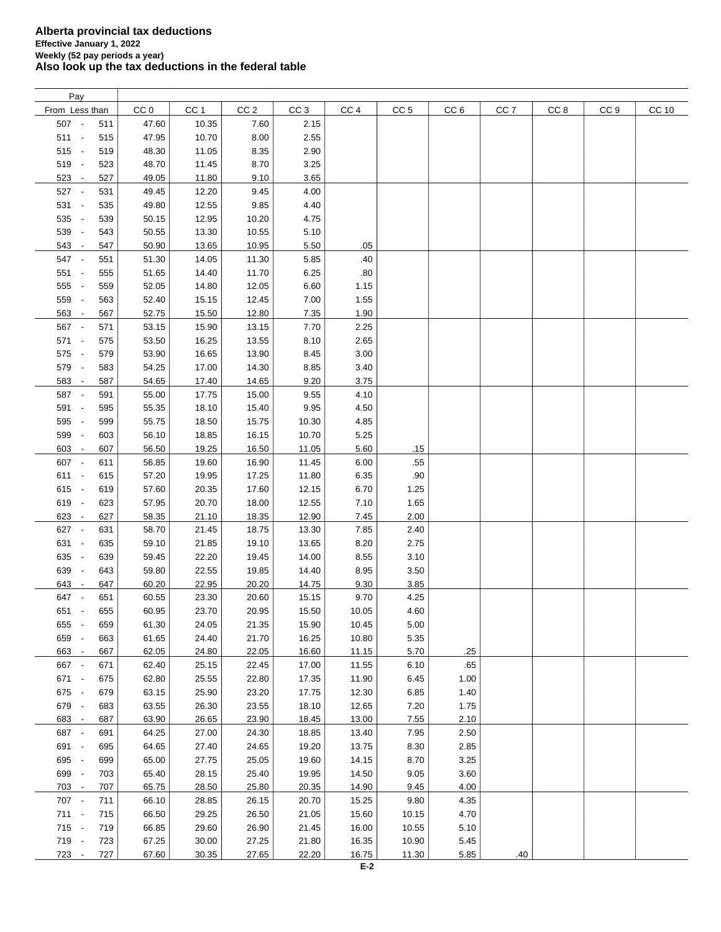| Pay                             |     |                 |                 |                 |                 |                 |                 |                 |                 |      |                 |       |
|---------------------------------|-----|-----------------|-----------------|-----------------|-----------------|-----------------|-----------------|-----------------|-----------------|------|-----------------|-------|
| From Less than                  |     | CC <sub>0</sub> | CC <sub>1</sub> | CC <sub>2</sub> | CC <sub>3</sub> | CC <sub>4</sub> | CC <sub>5</sub> | CC <sub>6</sub> | CC <sub>7</sub> | CC 8 | CC <sub>9</sub> | CC 10 |
| 507 -                           | 511 | 47.60           | 10.35           | 7.60            | 2.15            |                 |                 |                 |                 |      |                 |       |
| $511 -$                         | 515 | 47.95           | 10.70           | 8.00            | 2.55            |                 |                 |                 |                 |      |                 |       |
| $515 -$                         | 519 | 48.30           | 11.05           | 8.35            | 2.90            |                 |                 |                 |                 |      |                 |       |
| 519 -                           | 523 | 48.70           | 11.45           | 8.70            | 3.25            |                 |                 |                 |                 |      |                 |       |
|                                 | 527 | 49.05           |                 | 9.10            | 3.65            |                 |                 |                 |                 |      |                 |       |
| $523 -$                         |     |                 | 11.80           |                 |                 |                 |                 |                 |                 |      |                 |       |
| 527 -                           | 531 | 49.45           | 12.20           | 9.45            | 4.00            |                 |                 |                 |                 |      |                 |       |
| 531 -                           | 535 | 49.80           | 12.55           | 9.85            | 4.40            |                 |                 |                 |                 |      |                 |       |
| 535 -                           | 539 | 50.15           | 12.95           | 10.20           | 4.75            |                 |                 |                 |                 |      |                 |       |
| 539 -                           | 543 | 50.55           | 13.30           | 10.55           | 5.10            |                 |                 |                 |                 |      |                 |       |
| 543 -                           | 547 | 50.90           | 13.65           | 10.95           | 5.50            | .05             |                 |                 |                 |      |                 |       |
| 547 -                           | 551 | 51.30           | 14.05           | 11.30           | 5.85            | .40             |                 |                 |                 |      |                 |       |
| $551 -$                         | 555 | 51.65           | 14.40           | 11.70           | 6.25            | .80             |                 |                 |                 |      |                 |       |
| 555 -                           | 559 | 52.05           | 14.80           | 12.05           | 6.60            | 1.15            |                 |                 |                 |      |                 |       |
| 559 -                           | 563 | 52.40           | 15.15           | 12.45           | 7.00            | 1.55            |                 |                 |                 |      |                 |       |
| 563 -                           | 567 | 52.75           | 15.50           | 12.80           | 7.35            | 1.90            |                 |                 |                 |      |                 |       |
| 567 -                           | 571 | 53.15           | 15.90           | 13.15           | 7.70            | 2.25            |                 |                 |                 |      |                 |       |
| 571 -                           | 575 | 53.50           | 16.25           | 13.55           | 8.10            | 2.65            |                 |                 |                 |      |                 |       |
| 575 -                           | 579 | 53.90           | 16.65           | 13.90           | 8.45            | 3.00            |                 |                 |                 |      |                 |       |
| 579 -                           | 583 | 54.25           | 17.00           | 14.30           | 8.85            | 3.40            |                 |                 |                 |      |                 |       |
| 583 -                           |     |                 |                 |                 | 9.20            | 3.75            |                 |                 |                 |      |                 |       |
|                                 | 587 | 54.65           | 17.40           | 14.65           |                 |                 |                 |                 |                 |      |                 |       |
| 587 -                           | 591 | 55.00           | 17.75           | 15.00           | 9.55            | 4.10            |                 |                 |                 |      |                 |       |
| 591 -                           | 595 | 55.35           | 18.10           | 15.40           | 9.95            | 4.50            |                 |                 |                 |      |                 |       |
| 595 -                           | 599 | 55.75           | 18.50           | 15.75           | 10.30           | 4.85            |                 |                 |                 |      |                 |       |
| 599 -                           | 603 | 56.10           | 18.85           | 16.15           | 10.70           | 5.25            |                 |                 |                 |      |                 |       |
| 603 -                           | 607 | 56.50           | 19.25           | 16.50           | 11.05           | 5.60            | .15             |                 |                 |      |                 |       |
| 607 -                           | 611 | 56.85           | 19.60           | 16.90           | 11.45           | 6.00            | .55             |                 |                 |      |                 |       |
| $611 -$                         | 615 | 57.20           | 19.95           | 17.25           | 11.80           | 6.35            | .90             |                 |                 |      |                 |       |
| $615 -$                         | 619 | 57.60           | 20.35           | 17.60           | 12.15           | 6.70            | 1.25            |                 |                 |      |                 |       |
| 619 -                           | 623 | 57.95           | 20.70           | 18.00           | 12.55           | 7.10            | 1.65            |                 |                 |      |                 |       |
| 623 -                           | 627 | 58.35           | 21.10           | 18.35           | 12.90           | 7.45            | 2.00            |                 |                 |      |                 |       |
| 627 -                           | 631 | 58.70           | 21.45           | 18.75           | 13.30           | 7.85            | 2.40            |                 |                 |      |                 |       |
| 631 -                           | 635 | 59.10           | 21.85           | 19.10           | 13.65           | 8.20            | 2.75            |                 |                 |      |                 |       |
| 635 -                           | 639 | 59.45           | 22.20           | 19.45           | 14.00           | 8.55            | 3.10            |                 |                 |      |                 |       |
| 639 -                           | 643 | 59.80           | 22.55           | 19.85           | 14.40           | 8.95            | 3.50            |                 |                 |      |                 |       |
| 643<br>$\overline{\phantom{a}}$ | 647 | 60.20           | 22.95           | 20.20           | 14.75           | 9.30            | 3.85            |                 |                 |      |                 |       |
| 647 -                           | 651 | 60.55           | 23.30           | 20.60           | 15.15           | 9.70            | 4.25            |                 |                 |      |                 |       |
| 651 -                           | 655 | 60.95           | 23.70           | 20.95           | 15.50           | 10.05           | 4.60            |                 |                 |      |                 |       |
|                                 |     |                 |                 |                 |                 |                 |                 |                 |                 |      |                 |       |
| 655 -                           | 659 | 61.30           | 24.05           | 21.35           | 15.90           | 10.45           | 5.00            |                 |                 |      |                 |       |
| 659 -                           | 663 | 61.65           | 24.40           | 21.70           | 16.25           | 10.80           | 5.35            |                 |                 |      |                 |       |
| 663 -                           | 667 | 62.05           | 24.80           | 22.05           | 16.60           | 11.15           | 5.70            | .25             |                 |      |                 |       |
| 667 -                           | 671 | 62.40           | 25.15           | 22.45           | 17.00           | 11.55           | 6.10            | .65             |                 |      |                 |       |
| 671 -                           | 675 | 62.80           | 25.55           | 22.80           | 17.35           | 11.90           | 6.45            | 1.00            |                 |      |                 |       |
| 675 -                           | 679 | 63.15           | 25.90           | 23.20           | 17.75           | 12.30           | 6.85            | 1.40            |                 |      |                 |       |
| 679 -                           | 683 | 63.55           | 26.30           | 23.55           | 18.10           | 12.65           | 7.20            | 1.75            |                 |      |                 |       |
| 683 -                           | 687 | 63.90           | 26.65           | 23.90           | 18.45           | 13.00           | 7.55            | 2.10            |                 |      |                 |       |
| 687 -                           | 691 | 64.25           | 27.00           | 24.30           | 18.85           | 13.40           | 7.95            | 2.50            |                 |      |                 |       |
| 691 -                           | 695 | 64.65           | 27.40           | 24.65           | 19.20           | 13.75           | 8.30            | 2.85            |                 |      |                 |       |
| 695 -                           | 699 | 65.00           | 27.75           | 25.05           | 19.60           | 14.15           | 8.70            | 3.25            |                 |      |                 |       |
| 699 -                           | 703 | 65.40           | 28.15           | 25.40           | 19.95           | 14.50           | 9.05            | 3.60            |                 |      |                 |       |
| 703 -                           | 707 | 65.75           | 28.50           | 25.80           | 20.35           | 14.90           | 9.45            | 4.00            |                 |      |                 |       |
| 707 -                           | 711 | 66.10           | 28.85           | 26.15           | 20.70           | 15.25           | 9.80            | 4.35            |                 |      |                 |       |
| $711 -$                         | 715 | 66.50           | 29.25           | 26.50           | 21.05           | 15.60           | 10.15           | 4.70            |                 |      |                 |       |
| 715 -                           | 719 | 66.85           | 29.60           | 26.90           | 21.45           | 16.00           | 10.55           | 5.10            |                 |      |                 |       |
| 719 -                           | 723 | 67.25           | 30.00           |                 |                 |                 |                 |                 |                 |      |                 |       |
|                                 |     |                 |                 | 27.25           | 21.80           | 16.35           | 10.90           | 5.45            |                 |      |                 |       |
| 723 -                           | 727 | 67.60           | 30.35           | 27.65           | 22.20           | 16.75           | 11.30           | 5.85            | .40             |      |                 |       |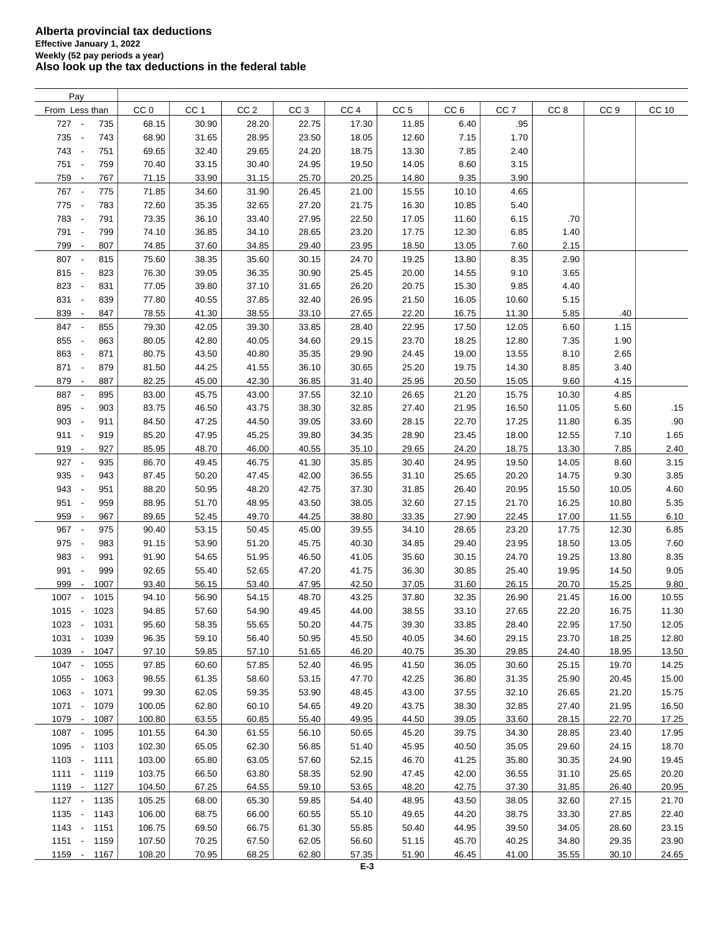| Pay                              |      |                 |                 |                 |                 |                 |                 |                 |                 |                 |                 |              |
|----------------------------------|------|-----------------|-----------------|-----------------|-----------------|-----------------|-----------------|-----------------|-----------------|-----------------|-----------------|--------------|
| From Less than                   |      | CC <sub>0</sub> | CC <sub>1</sub> | CC <sub>2</sub> | CC <sub>3</sub> | CC <sub>4</sub> | CC <sub>5</sub> | CC <sub>6</sub> | CC <sub>7</sub> | CC <sub>8</sub> | CC <sub>9</sub> | <b>CC 10</b> |
| 727 -                            | 735  | 68.15           | 30.90           | 28.20           | 22.75           | 17.30           | 11.85           | 6.40            | .95             |                 |                 |              |
| 735 -                            | 743  | 68.90           | 31.65           | 28.95           | 23.50           | 18.05           | 12.60           | 7.15            | 1.70            |                 |                 |              |
| 743 -                            | 751  | 69.65           | 32.40           | 29.65           | 24.20           | 18.75           | 13.30           | 7.85            | 2.40            |                 |                 |              |
| 751 -                            | 759  | 70.40           | 33.15           | 30.40           | 24.95           | 19.50           | 14.05           | 8.60            | 3.15            |                 |                 |              |
| 759 -                            | 767  | 71.15           | 33.90           | 31.15           | 25.70           | 20.25           | 14.80           | 9.35            | 3.90            |                 |                 |              |
| 767 -                            | 775  | 71.85           | 34.60           | 31.90           | 26.45           | 21.00           | 15.55           | 10.10           | 4.65            |                 |                 |              |
| 775 -                            | 783  | 72.60           | 35.35           | 32.65           | 27.20           | 21.75           | 16.30           | 10.85           | 5.40            |                 |                 |              |
| 783 -                            | 791  | 73.35           | 36.10           | 33.40           | 27.95           | 22.50           | 17.05           | 11.60           | 6.15            | .70             |                 |              |
| 791 -                            | 799  | 74.10           | 36.85           | 34.10           | 28.65           | 23.20           | 17.75           | 12.30           | 6.85            | 1.40            |                 |              |
| 799 -                            | 807  | 74.85           | 37.60           | 34.85           | 29.40           | 23.95           | 18.50           | 13.05           | 7.60            | 2.15            |                 |              |
| 807 -                            | 815  | 75.60           | 38.35           | 35.60           | 30.15           | 24.70           | 19.25           | 13.80           | 8.35            | 2.90            |                 |              |
| 815 -                            | 823  | 76.30           | 39.05           | 36.35           | 30.90           | 25.45           | 20.00           | 14.55           | 9.10            | 3.65            |                 |              |
| 823 -                            | 831  | 77.05           | 39.80           | 37.10           | 31.65           | 26.20           | 20.75           | 15.30           | 9.85            | 4.40            |                 |              |
| 831 -                            | 839  | 77.80           | 40.55           | 37.85           | 32.40           | 26.95           | 21.50           | 16.05           | 10.60           | 5.15            |                 |              |
| 839 -                            | 847  | 78.55           | 41.30           | 38.55           | 33.10           | 27.65           | 22.20           | 16.75           | 11.30           | 5.85            | .40             |              |
| 847 -                            | 855  | 79.30           | 42.05           | 39.30           | 33.85           | 28.40           | 22.95           | 17.50           | 12.05           | 6.60            | 1.15            |              |
| 855 -                            | 863  | 80.05           | 42.80           | 40.05           | 34.60           | 29.15           | 23.70           | 18.25           | 12.80           | 7.35            | 1.90            |              |
| 863<br>$\sim$                    | 871  | 80.75           | 43.50           | 40.80           | 35.35           | 29.90           | 24.45           | 19.00           | 13.55           | 8.10            | 2.65            |              |
| 871<br>$\sim$                    | 879  | 81.50           | 44.25           | 41.55           | 36.10           | 30.65           | 25.20           | 19.75           | 14.30           | 8.85            | 3.40            |              |
| 879 -                            | 887  | 82.25           | 45.00           | 42.30           | 36.85           | 31.40           | 25.95           | 20.50           | 15.05           | 9.60            | 4.15            |              |
| 887 -                            | 895  | 83.00           | 45.75           | 43.00           | 37.55           | 32.10           | 26.65           | 21.20           | 15.75           | 10.30           | 4.85            |              |
| 895 -                            | 903  | 83.75           | 46.50           | 43.75           | 38.30           | 32.85           | 27.40           | 21.95           | 16.50           | 11.05           | 5.60            | .15          |
|                                  |      |                 |                 |                 |                 |                 |                 |                 |                 |                 |                 |              |
| 903 -                            | 911  | 84.50           | 47.25           | 44.50           | 39.05           | 33.60           | 28.15           | 22.70           | 17.25           | 11.80           | 6.35            | .90          |
| $911 -$                          | 919  | 85.20           | 47.95           | 45.25           | 39.80           | 34.35           | 28.90           | 23.45           | 18.00           | 12.55           | 7.10            | 1.65         |
| 919 -                            | 927  | 85.95           | 48.70           | 46.00           | 40.55           | 35.10           | 29.65           | 24.20           | 18.75           | 13.30           | 7.85            | 2.40         |
| 927 -                            | 935  | 86.70           | 49.45           | 46.75           | 41.30           | 35.85           | 30.40           | 24.95           | 19.50           | 14.05           | 8.60            | 3.15         |
| 935 -                            | 943  | 87.45           | 50.20           | 47.45           | 42.00           | 36.55           | 31.10           | 25.65           | 20.20           | 14.75           | 9.30            | 3.85         |
| 943 -                            | 951  | 88.20           | 50.95           | 48.20           | 42.75           | 37.30           | 31.85           | 26.40           | 20.95           | 15.50           | 10.05           | 4.60         |
| $951 -$                          | 959  | 88.95           | 51.70           | 48.95           | 43.50           | 38.05           | 32.60           | 27.15           | 21.70           | 16.25           | 10.80           | 5.35         |
| 959 -                            | 967  | 89.65           | 52.45           | 49.70           | 44.25           | 38.80           | 33.35           | 27.90           | 22.45           | 17.00           | 11.55           | 6.10         |
| 967 -                            | 975  | 90.40           | 53.15           | 50.45           | 45.00           | 39.55           | 34.10           | 28.65           | 23.20           | 17.75           | 12.30           | 6.85         |
| 975 -                            | 983  | 91.15           | 53.90           | 51.20           | 45.75           | 40.30           | 34.85           | 29.40           | 23.95           | 18.50           | 13.05           | 7.60         |
| 983 -                            | 991  | 91.90           | 54.65           | 51.95           | 46.50           | 41.05           | 35.60           | 30.15           | 24.70           | 19.25           | 13.80           | 8.35         |
| 991<br>$\sim$                    | 999  | 92.65           | 55.40           | 52.65           | 47.20           | 41.75           | 36.30           | 30.85           | 25.40           | 19.95           | 14.50           | 9.05         |
| 999<br>$\overline{\phantom{a}}$  | 1007 | 93.40           | 56.15           | 53.40           | 47.95           | 42.50           | 37.05           | 31.60           | 26.15           | 20.70           | 15.25           | 9.80         |
| 1007<br>$\overline{\phantom{a}}$ | 1015 | 94.10           | 56.90           | 54.15           | 48.70           | 43.25           | 37.80           | 32.35           | 26.90           | 21.45           | 16.00           | 10.55        |
| $1015 -$                         | 1023 | 94.85           | 57.60           | 54.90           | 49.45           | 44.00           | 38.55           | 33.10           | 27.65           | 22.20           | 16.75           | 11.30        |
| $1023 -$                         | 1031 | 95.60           | 58.35           | 55.65           | 50.20           | 44.75           | 39.30           | 33.85           | 28.40           | 22.95           | 17.50           | 12.05        |
| 1031 -                           | 1039 | 96.35           | 59.10           | 56.40           | 50.95           | 45.50           | 40.05           | 34.60           | 29.15           | 23.70           | 18.25           | 12.80        |
| 1039 -                           | 1047 | 97.10           | 59.85           | 57.10           | 51.65           | 46.20           | 40.75           | 35.30           | 29.85           | 24.40           | 18.95           | 13.50        |
| 1047 -                           | 1055 | 97.85           | 60.60           | 57.85           | 52.40           | 46.95           | 41.50           | 36.05           | 30.60           | 25.15           | 19.70           | 14.25        |
| 1055 -                           | 1063 | 98.55           | 61.35           | 58.60           | 53.15           | 47.70           | 42.25           | 36.80           | 31.35           | 25.90           | 20.45           | 15.00        |
| 1063 -                           | 1071 | 99.30           | 62.05           | 59.35           | 53.90           | 48.45           | 43.00           | 37.55           | 32.10           | 26.65           | 21.20           | 15.75        |
| $1071 -$                         | 1079 | 100.05          | 62.80           | 60.10           | 54.65           | 49.20           | 43.75           | 38.30           | 32.85           | 27.40           | 21.95           | 16.50        |
| 1079 -                           | 1087 | 100.80          | 63.55           | 60.85           | 55.40           | 49.95           | 44.50           | 39.05           | 33.60           | 28.15           | 22.70           | 17.25        |
| 1087 -                           | 1095 | 101.55          | 64.30           | 61.55           | 56.10           | 50.65           | 45.20           | 39.75           | 34.30           | 28.85           | 23.40           | 17.95        |
| 1095 -                           | 1103 | 102.30          | 65.05           | 62.30           | 56.85           | 51.40           | 45.95           | 40.50           | 35.05           | 29.60           | 24.15           | 18.70        |
| $1103 -$                         | 1111 | 103.00          | 65.80           | 63.05           | 57.60           | 52.15           | 46.70           | 41.25           | 35.80           | 30.35           | 24.90           | 19.45        |
| 1111 - 1119                      |      | 103.75          | 66.50           | 63.80           | 58.35           | 52.90           | 47.45           | 42.00           | 36.55           | 31.10           | 25.65           | 20.20        |
| 1119 -                           | 1127 | 104.50          | 67.25           | 64.55           | 59.10           | 53.65           | 48.20           | 42.75           | 37.30           | 31.85           | 26.40           | 20.95        |
| $1127 -$                         | 1135 | 105.25          | 68.00           | 65.30           | 59.85           | 54.40           | 48.95           | 43.50           | 38.05           | 32.60           | 27.15           | 21.70        |
| $1135 -$                         | 1143 | 106.00          | 68.75           | 66.00           | 60.55           | 55.10           | 49.65           | 44.20           | 38.75           | 33.30           | 27.85           | 22.40        |
| $1143 -$                         | 1151 | 106.75          | 69.50           | 66.75           | 61.30           | 55.85           | 50.40           | 44.95           | 39.50           | 34.05           | 28.60           | 23.15        |
| $1151 -$                         | 1159 | 107.50          | 70.25           | 67.50           | 62.05           | 56.60           | 51.15           | 45.70           | 40.25           | 34.80           | 29.35           | 23.90        |
| 1159 -                           | 1167 | 108.20          | 70.95           | 68.25           | 62.80           | 57.35           | 51.90           | 46.45           | 41.00           | 35.55           | 30.10           | 24.65        |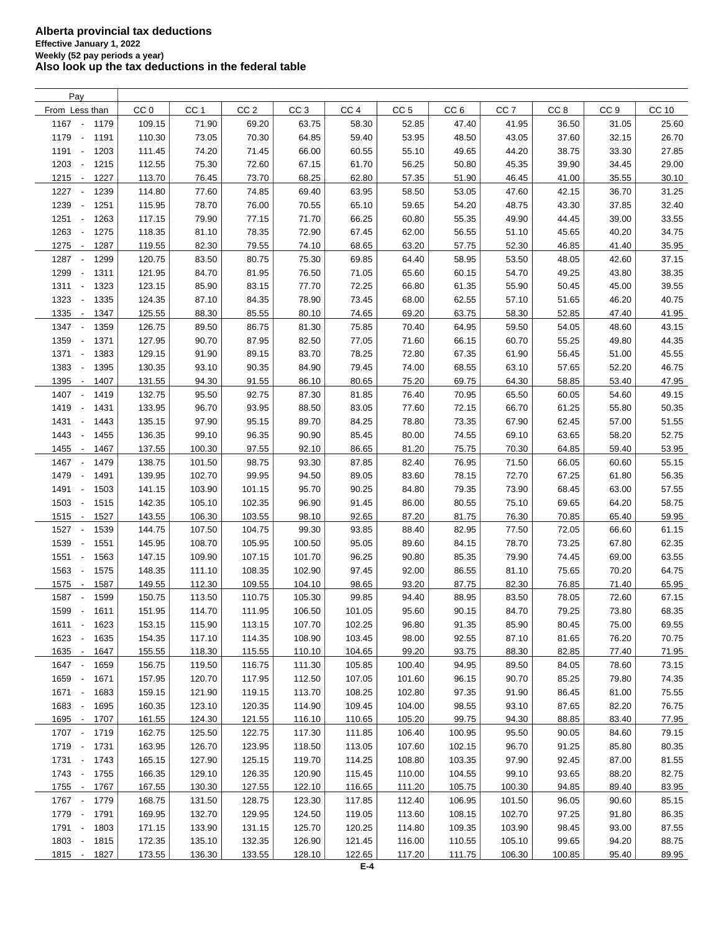| Pay                                      |                 |                 |                 |                  |                 |                 |                 |                 |                 |                 |       |
|------------------------------------------|-----------------|-----------------|-----------------|------------------|-----------------|-----------------|-----------------|-----------------|-----------------|-----------------|-------|
| From Less than                           | CC <sub>0</sub> | CC <sub>1</sub> | CC <sub>2</sub> | CC <sub>3</sub>  | CC <sub>4</sub> | CC <sub>5</sub> | CC <sub>6</sub> | CC <sub>7</sub> | CC <sub>8</sub> | CC <sub>9</sub> | CC 10 |
| 1167 -<br>1179                           | 109.15          | 71.90           | 69.20           | 63.75            | 58.30           | 52.85           | 47.40           | 41.95           | 36.50           | 31.05           | 25.60 |
| 1179<br>1191<br>$\overline{\phantom{a}}$ | 110.30          | 73.05           | 70.30           | 64.85            | 59.40           | 53.95           | 48.50           | 43.05           | 37.60           | 32.15           | 26.70 |
| 1191<br>1203<br>$\sim$                   | 111.45          | 74.20           | 71.45           | 66.00            | 60.55           | 55.10           | 49.65           | 44.20           | 38.75           | 33.30           | 27.85 |
| 1203<br>1215<br>$\overline{\phantom{a}}$ | 112.55          | 75.30           | 72.60           | 67.15            | 61.70           | 56.25           | 50.80           | 45.35           | 39.90           | 34.45           | 29.00 |
| 1215<br>1227<br>$\sim$                   | 113.70          | 76.45           | 73.70           | 68.25            | 62.80           | 57.35           | 51.90           | 46.45           | 41.00           | 35.55           | 30.10 |
| 1227<br>$\overline{\phantom{a}}$<br>1239 | 114.80          | 77.60           | 74.85           | 69.40            | 63.95           | 58.50           | 53.05           | 47.60           | 42.15           | 36.70           | 31.25 |
| 1239<br>1251<br>$\overline{\phantom{a}}$ | 115.95          |                 |                 | 70.55            | 65.10           | 59.65           | 54.20           | 48.75           | 43.30           | 37.85           | 32.40 |
|                                          |                 | 78.70           | 76.00           |                  |                 |                 |                 |                 |                 |                 |       |
| 1251 -<br>1263                           | 117.15          | 79.90           | 77.15           | 71.70            | 66.25           | 60.80           | 55.35           | 49.90           | 44.45           | 39.00           | 33.55 |
| 1263<br>1275<br>$\overline{\phantom{a}}$ | 118.35          | 81.10           | 78.35           | 72.90            | 67.45           | 62.00           | 56.55           | 51.10           | 45.65           | 40.20           | 34.75 |
| 1275 -<br>1287                           | 119.55          | 82.30           | 79.55           | 74.10            | 68.65           | 63.20           | 57.75           | 52.30           | 46.85           | 41.40           | 35.95 |
| 1287<br>1299<br>$\overline{\phantom{a}}$ | 120.75          | 83.50           | 80.75           | 75.30            | 69.85           | 64.40           | 58.95           | 53.50           | 48.05           | 42.60           | 37.15 |
| 1299<br>1311<br>$\overline{\phantom{a}}$ | 121.95          | 84.70           | 81.95           | 76.50            | 71.05           | 65.60           | 60.15           | 54.70           | 49.25           | 43.80           | 38.35 |
| 1311 -<br>1323                           | 123.15          | 85.90           | 83.15           | 77.70            | 72.25           | 66.80           | 61.35           | 55.90           | 50.45           | 45.00           | 39.55 |
| 1323<br>1335<br>$\overline{\phantom{a}}$ | 124.35          | 87.10           | 84.35           | 78.90            | 73.45           | 68.00           | 62.55           | 57.10           | 51.65           | 46.20           | 40.75 |
| 1335<br>1347<br>$\overline{\phantom{a}}$ | 125.55          | 88.30           | 85.55           | 80.10            | 74.65           | 69.20           | 63.75           | 58.30           | 52.85           | 47.40           | 41.95 |
| 1347<br>1359<br>$\overline{\phantom{a}}$ | 126.75          | 89.50           | 86.75           | 81.30            | 75.85           | 70.40           | 64.95           | 59.50           | 54.05           | 48.60           | 43.15 |
| 1359<br>1371<br>$\blacksquare$           | 127.95          | 90.70           | 87.95           | 82.50            | 77.05           | 71.60           | 66.15           | 60.70           | 55.25           | 49.80           | 44.35 |
| 1371<br>1383<br>$\overline{\phantom{a}}$ | 129.15          | 91.90           | 89.15           | 83.70            | 78.25           | 72.80           | 67.35           | 61.90           | 56.45           | 51.00           | 45.55 |
| 1383<br>$\overline{\phantom{a}}$<br>1395 | 130.35          | 93.10           | 90.35           | 84.90            | 79.45           | 74.00           | 68.55           | 63.10           | 57.65           | 52.20           | 46.75 |
| 1395<br>1407<br>$\sim$                   | 131.55          | 94.30           | 91.55           | 86.10            | 80.65           | 75.20           | 69.75           | 64.30           | 58.85           | 53.40           | 47.95 |
| 1407<br>$\overline{\phantom{a}}$<br>1419 | 132.75          | 95.50           | 92.75           | 87.30            | 81.85           | 76.40           | 70.95           | 65.50           | 60.05           | 54.60           | 49.15 |
| 1419<br>1431<br>$\overline{\phantom{a}}$ | 133.95          | 96.70           | 93.95           | 88.50            | 83.05           | 77.60           | 72.15           | 66.70           | 61.25           | 55.80           | 50.35 |
| 1431<br>1443<br>$\overline{\phantom{a}}$ | 135.15          | 97.90           | 95.15           | 89.70            | 84.25           | 78.80           | 73.35           | 67.90           | 62.45           | 57.00           | 51.55 |
| 1443<br>1455<br>$\overline{\phantom{a}}$ | 136.35          | 99.10           | 96.35           | 90.90            | 85.45           | 80.00           | 74.55           | 69.10           | 63.65           | 58.20           | 52.75 |
| 1455<br>1467<br>$\overline{\phantom{a}}$ | 137.55          | 100.30          | 97.55           | 92.10            | 86.65           | 81.20           | 75.75           | 70.30           | 64.85           | 59.40           | 53.95 |
| 1467<br>1479<br>$\sim$                   | 138.75          | 101.50          | 98.75           | 93.30            | 87.85           | 82.40           | 76.95           | 71.50           | 66.05           | 60.60           | 55.15 |
| 1479<br>1491<br>$\overline{\phantom{a}}$ | 139.95          | 102.70          | 99.95           | 94.50            | 89.05           | 83.60           | 78.15           | 72.70           | 67.25           | 61.80           | 56.35 |
| 1491<br>1503<br>$\overline{\phantom{a}}$ | 141.15          | 103.90          | 101.15          | 95.70            | 90.25           | 84.80           | 79.35           | 73.90           | 68.45           | 63.00           | 57.55 |
| 1503<br>1515<br>$\overline{\phantom{a}}$ | 142.35          | 105.10          | 102.35          | 96.90            | 91.45           | 86.00           | 80.55           | 75.10           | 69.65           | 64.20           | 58.75 |
| 1515<br>1527<br>$\overline{\phantom{a}}$ | 143.55          | 106.30          | 103.55          | 98.10            | 92.65           | 87.20           | 81.75           | 76.30           | 70.85           | 65.40           | 59.95 |
| 1527<br>1539<br>$\overline{\phantom{a}}$ | 144.75          | 107.50          | 104.75          | 99.30            | 93.85           | 88.40           | 82.95           | 77.50           | 72.05           | 66.60           | 61.15 |
| 1539<br>1551<br>$\overline{\phantom{a}}$ | 145.95          | 108.70          |                 |                  | 95.05           |                 |                 | 78.70           | 73.25           |                 | 62.35 |
|                                          |                 |                 | 105.95          | 100.50<br>101.70 |                 | 89.60           | 84.15           |                 |                 | 67.80           |       |
| 1551<br>1563<br>$\sim$                   | 147.15          | 109.90          | 107.15          |                  | 96.25           | 90.80           | 85.35           | 79.90           | 74.45           | 69.00           | 63.55 |
| 1563<br>1575<br>$\overline{\phantom{a}}$ | 148.35          | 111.10          | 108.35          | 102.90           | 97.45           | 92.00           | 86.55           | 81.10           | 75.65           | 70.20           | 64.75 |
| 1575<br>1587<br>$\sim$                   | 149.55          | 112.30          | 109.55          | 104.10           | 98.65           | 93.20           | 87.75           | 82.30           | 76.85           | 71.40           | 65.95 |
| 1587<br>1599<br>$\overline{\phantom{a}}$ | 150.75          | 113.50          | 110.75          | 105.30           | 99.85           | 94.40           | 88.95           | 83.50           | 78.05           | 72.60           | 67.15 |
| 1599 -<br>1611                           | 151.95          | 114.70          | 111.95          | 106.50           | 101.05          | 95.60           | 90.15           | 84.70           | 79.25           | 73.80           | 68.35 |
| $1611 -$<br>1623                         | 153.15          | 115.90          | 113.15          | 107.70           | 102.25          | 96.80           | 91.35           | 85.90           | 80.45           | 75.00           | 69.55 |
| 1623<br>1635<br>$\sim$                   | 154.35          | 117.10          | 114.35          | 108.90           | 103.45          | 98.00           | 92.55           | 87.10           | 81.65           | 76.20           | 70.75 |
| 1635 -<br>1647                           | 155.55          | 118.30          | 115.55          | 110.10           | 104.65          | 99.20           | 93.75           | 88.30           | 82.85           | 77.40           | 71.95 |
| 1647 -<br>1659                           | 156.75          | 119.50          | 116.75          | 111.30           | 105.85          | 100.40          | 94.95           | 89.50           | 84.05           | 78.60           | 73.15 |
| 1659 -<br>1671                           | 157.95          | 120.70          | 117.95          | 112.50           | 107.05          | 101.60          | 96.15           | 90.70           | 85.25           | 79.80           | 74.35 |
| 1671 -<br>1683                           | 159.15          | 121.90          | 119.15          | 113.70           | 108.25          | 102.80          | 97.35           | 91.90           | 86.45           | 81.00           | 75.55 |
| 1683 -<br>1695                           | 160.35          | 123.10          | 120.35          | 114.90           | 109.45          | 104.00          | 98.55           | 93.10           | 87.65           | 82.20           | 76.75 |
| 1695 -<br>1707                           | 161.55          | 124.30          | 121.55          | 116.10           | 110.65          | 105.20          | 99.75           | 94.30           | 88.85           | 83.40           | 77.95 |
| 1707 -<br>1719                           | 162.75          | 125.50          | 122.75          | 117.30           | 111.85          | 106.40          | 100.95          | 95.50           | 90.05           | 84.60           | 79.15 |
| 1719 -<br>1731                           | 163.95          | 126.70          | 123.95          | 118.50           | 113.05          | 107.60          | 102.15          | 96.70           | 91.25           | 85.80           | 80.35 |
| 1731 -<br>1743                           | 165.15          | 127.90          | 125.15          | 119.70           | 114.25          | 108.80          | 103.35          | 97.90           | 92.45           | 87.00           | 81.55 |
| 1743 -<br>1755                           | 166.35          | 129.10          | 126.35          | 120.90           | 115.45          | 110.00          | 104.55          | 99.10           | 93.65           | 88.20           | 82.75 |
| 1755 -<br>1767                           | 167.55          | 130.30          | 127.55          | 122.10           | 116.65          | 111.20          | 105.75          | 100.30          | 94.85           | 89.40           | 83.95 |
| 1767 -<br>1779                           | 168.75          | 131.50          | 128.75          | 123.30           | 117.85          | 112.40          | 106.95          | 101.50          | 96.05           | 90.60           | 85.15 |
| 1779 -<br>1791                           | 169.95          | 132.70          | 129.95          | 124.50           | 119.05          | 113.60          | 108.15          | 102.70          | 97.25           | 91.80           | 86.35 |
| 1791 -<br>1803                           | 171.15          | 133.90          | 131.15          | 125.70           | 120.25          | 114.80          | 109.35          | 103.90          | 98.45           | 93.00           | 87.55 |
| 1803 -<br>1815                           | 172.35          | 135.10          | 132.35          | 126.90           | 121.45          | 116.00          | 110.55          | 105.10          | 99.65           | 94.20           | 88.75 |
| $1815 -$<br>1827                         | 173.55          | 136.30          | 133.55          | 128.10           | 122.65          | 117.20          | 111.75          | 106.30          | 100.85          | 95.40           | 89.95 |
|                                          |                 |                 |                 |                  |                 |                 |                 |                 |                 |                 |       |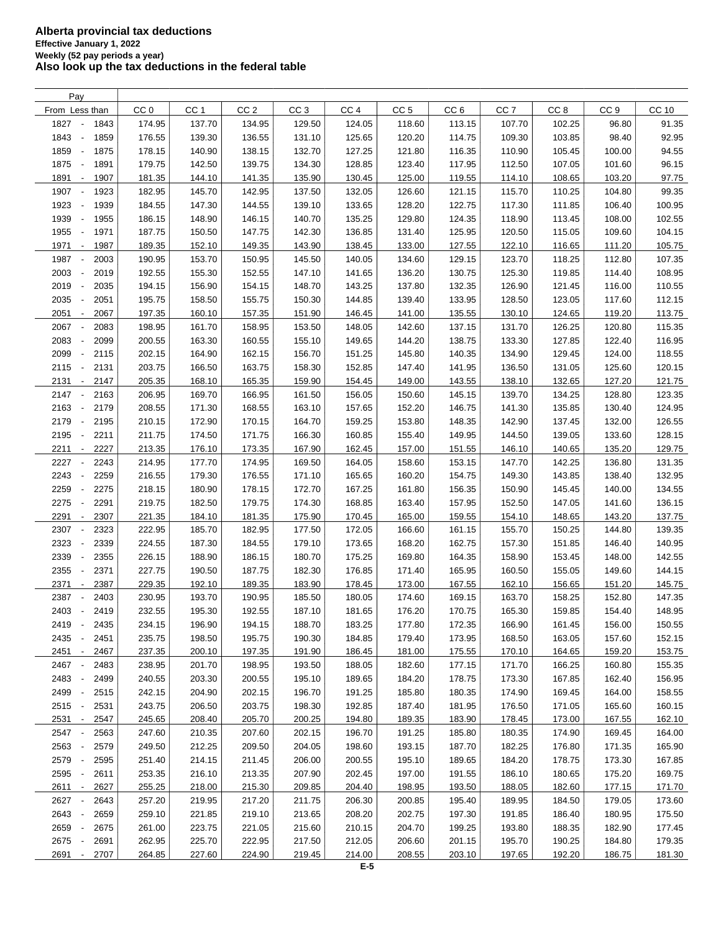| Pay                                      |                 |                 |                 |                 |                 |                 |                 |                 |                 |                 |              |
|------------------------------------------|-----------------|-----------------|-----------------|-----------------|-----------------|-----------------|-----------------|-----------------|-----------------|-----------------|--------------|
| From Less than                           | CC <sub>0</sub> | CC <sub>1</sub> | CC <sub>2</sub> | CC <sub>3</sub> | CC <sub>4</sub> | CC <sub>5</sub> | CC <sub>6</sub> | CC <sub>7</sub> | CC <sub>8</sub> | CC <sub>9</sub> | <b>CC 10</b> |
| 1827<br>1843<br>$\overline{\phantom{a}}$ | 174.95          | 137.70          | 134.95          | 129.50          | 124.05          | 118.60          | 113.15          | 107.70          | 102.25          | 96.80           | 91.35        |
| 1843<br>1859<br>$\overline{\phantom{a}}$ | 176.55          | 139.30          | 136.55          | 131.10          | 125.65          | 120.20          | 114.75          | 109.30          | 103.85          | 98.40           | 92.95        |
| 1859<br>1875<br>$\overline{\phantom{a}}$ | 178.15          | 140.90          | 138.15          | 132.70          | 127.25          | 121.80          | 116.35          | 110.90          | 105.45          | 100.00          | 94.55        |
| 1875<br>1891<br>$\overline{\phantom{a}}$ | 179.75          | 142.50          | 139.75          | 134.30          | 128.85          | 123.40          | 117.95          | 112.50          | 107.05          | 101.60          | 96.15        |
| 1891<br>1907<br>$\overline{\phantom{a}}$ | 181.35          | 144.10          | 141.35          | 135.90          | 130.45          | 125.00          | 119.55          | 114.10          | 108.65          | 103.20          | 97.75        |
| 1907<br>1923<br>$\overline{\phantom{a}}$ | 182.95          | 145.70          | 142.95          | 137.50          | 132.05          | 126.60          | 121.15          | 115.70          | 110.25          | 104.80          | 99.35        |
|                                          |                 |                 |                 |                 |                 |                 |                 |                 |                 |                 |              |
| 1923<br>1939<br>$\overline{\phantom{a}}$ | 184.55          | 147.30          | 144.55          | 139.10          | 133.65          | 128.20          | 122.75          | 117.30          | 111.85          | 106.40          | 100.95       |
| 1939<br>$\overline{\phantom{a}}$<br>1955 | 186.15          | 148.90          | 146.15          | 140.70          | 135.25          | 129.80          | 124.35          | 118.90          | 113.45          | 108.00          | 102.55       |
| 1955<br>$\blacksquare$<br>1971           | 187.75          | 150.50          | 147.75          | 142.30          | 136.85          | 131.40          | 125.95          | 120.50          | 115.05          | 109.60          | 104.15       |
| 1971<br>1987<br>$\sim$                   | 189.35          | 152.10          | 149.35          | 143.90          | 138.45          | 133.00          | 127.55          | 122.10          | 116.65          | 111.20          | 105.75       |
| 1987<br>2003<br>$\overline{\phantom{a}}$ | 190.95          | 153.70          | 150.95          | 145.50          | 140.05          | 134.60          | 129.15          | 123.70          | 118.25          | 112.80          | 107.35       |
| 2003<br>2019<br>$\overline{\phantom{a}}$ | 192.55          | 155.30          | 152.55          | 147.10          | 141.65          | 136.20          | 130.75          | 125.30          | 119.85          | 114.40          | 108.95       |
| 2019<br>2035<br>$\overline{\phantom{a}}$ | 194.15          | 156.90          | 154.15          | 148.70          | 143.25          | 137.80          | 132.35          | 126.90          | 121.45          | 116.00          | 110.55       |
| 2035<br>2051<br>÷,                       | 195.75          | 158.50          | 155.75          | 150.30          | 144.85          | 139.40          | 133.95          | 128.50          | 123.05          | 117.60          | 112.15       |
| 2051<br>2067<br>$\overline{\phantom{a}}$ | 197.35          | 160.10          | 157.35          | 151.90          | 146.45          | 141.00          | 135.55          | 130.10          | 124.65          | 119.20          | 113.75       |
| 2067<br>2083                             | 198.95          | 161.70          | 158.95          | 153.50          | 148.05          | 142.60          | 137.15          | 131.70          | 126.25          | 120.80          | 115.35       |
| 2083<br>2099<br>$\overline{\phantom{a}}$ | 200.55          | 163.30          | 160.55          | 155.10          | 149.65          | 144.20          | 138.75          | 133.30          | 127.85          | 122.40          | 116.95       |
| 2099<br>2115<br>$\overline{\phantom{a}}$ | 202.15          | 164.90          | 162.15          | 156.70          | 151.25          | 145.80          | 140.35          | 134.90          | 129.45          | 124.00          | 118.55       |
| 2115<br>2131<br>$\overline{\phantom{a}}$ | 203.75          | 166.50          | 163.75          | 158.30          | 152.85          | 147.40          | 141.95          | 136.50          | 131.05          | 125.60          | 120.15       |
| 2131<br>2147<br>$\sim$                   | 205.35          | 168.10          | 165.35          | 159.90          | 154.45          | 149.00          | 143.55          | 138.10          | 132.65          | 127.20          | 121.75       |
| 2147<br>2163<br>$\overline{\phantom{a}}$ | 206.95          | 169.70          | 166.95          | 161.50          | 156.05          | 150.60          | 145.15          | 139.70          | 134.25          | 128.80          | 123.35       |
| 2163<br>2179<br>$\overline{\phantom{a}}$ | 208.55          | 171.30          | 168.55          | 163.10          | 157.65          | 152.20          | 146.75          | 141.30          | 135.85          | 130.40          | 124.95       |
| 2179<br>2195<br>$\overline{\phantom{a}}$ | 210.15          | 172.90          | 170.15          | 164.70          | 159.25          | 153.80          | 148.35          | 142.90          | 137.45          | 132.00          | 126.55       |
| 2195<br>2211<br>$\overline{\phantom{a}}$ | 211.75          | 174.50          | 171.75          | 166.30          | 160.85          | 155.40          | 149.95          | 144.50          | 139.05          | 133.60          | 128.15       |
| 2211<br>2227<br>$\overline{\phantom{a}}$ | 213.35          | 176.10          | 173.35          | 167.90          | 162.45          | 157.00          | 151.55          | 146.10          | 140.65          | 135.20          | 129.75       |
| 2227<br>2243                             | 214.95          | 177.70          | 174.95          | 169.50          | 164.05          | 158.60          | 153.15          | 147.70          | 142.25          | 136.80          | 131.35       |
| 2243<br>2259                             | 216.55          | 179.30          | 176.55          | 171.10          | 165.65          | 160.20          | 154.75          | 149.30          | 143.85          | 138.40          | 132.95       |
| 2259<br>2275                             | 218.15          | 180.90          | 178.15          | 172.70          | 167.25          | 161.80          | 156.35          | 150.90          | 145.45          | 140.00          | 134.55       |
| 2275<br>2291<br>$\overline{\phantom{a}}$ | 219.75          | 182.50          | 179.75          | 174.30          |                 | 163.40          |                 | 152.50          | 147.05          | 141.60          | 136.15       |
|                                          |                 |                 |                 |                 | 168.85          |                 | 157.95          |                 |                 |                 |              |
| 2291<br>2307<br>$\overline{\phantom{a}}$ | 221.35          | 184.10          | 181.35          | 175.90          | 170.45          | 165.00          | 159.55          | 154.10          | 148.65          | 143.20          | 137.75       |
| 2307<br>2323<br>$\overline{\phantom{a}}$ | 222.95          | 185.70          | 182.95          | 177.50          | 172.05          | 166.60          | 161.15          | 155.70          | 150.25          | 144.80          | 139.35       |
| 2323<br>2339<br>$\overline{\phantom{a}}$ | 224.55          | 187.30          | 184.55          | 179.10          | 173.65          | 168.20          | 162.75          | 157.30          | 151.85          | 146.40          | 140.95       |
| 2339<br>2355<br>$\overline{\phantom{a}}$ | 226.15          | 188.90          | 186.15          | 180.70          | 175.25          | 169.80          | 164.35          | 158.90          | 153.45          | 148.00          | 142.55       |
| 2355<br>2371<br>$\overline{\phantom{a}}$ | 227.75          | 190.50          | 187.75          | 182.30          | 176.85          | 171.40          | 165.95          | 160.50          | 155.05          | 149.60          | 144.15       |
| 2371<br>2387<br>$\overline{\phantom{a}}$ | 229.35          | 192.10          | 189.35          | 183.90          | 178.45          | 173.00          | 167.55          | 162.10          | 156.65          | 151.20          | 145.75       |
| 2387<br>2403                             | 230.95          | 193.70          | 190.95          | 185.50          | 180.05          | 174.60          | 169.15          | 163.70          | 158.25          | 152.80          | 147.35       |
| 2403<br>2419<br>$\overline{\phantom{a}}$ | 232.55          | 195.30          | 192.55          | 187.10          | 181.65          | 176.20          | 170.75          | 165.30          | 159.85          | 154.40          | 148.95       |
| 2419<br>2435<br>$\overline{\phantom{a}}$ | 234.15          | 196.90          | 194.15          | 188.70          | 183.25          | 177.80          | 172.35          | 166.90          | 161.45          | 156.00          | 150.55       |
| 2435<br>2451                             | 235.75          | 198.50          | 195.75          | 190.30          | 184.85          | 179.40          | 173.95          | 168.50          | 163.05          | 157.60          | 152.15       |
| 2451 -<br>2467                           | 237.35          | 200.10          | 197.35          | 191.90          | 186.45          | 181.00          | 175.55          | 170.10          | 164.65          | 159.20          | 153.75       |
| 2467<br>2483                             | 238.95          | 201.70          | 198.95          | 193.50          | 188.05          | 182.60          | 177.15          | 171.70          | 166.25          | 160.80          | 155.35       |
| 2483<br>2499                             | 240.55          | 203.30          | 200.55          | 195.10          | 189.65          | 184.20          | 178.75          | 173.30          | 167.85          | 162.40          | 156.95       |
| 2499<br>2515<br>$\overline{\phantom{a}}$ | 242.15          | 204.90          | 202.15          | 196.70          | 191.25          | 185.80          | 180.35          | 174.90          | 169.45          | 164.00          | 158.55       |
| 2515<br>2531<br>$\overline{\phantom{a}}$ | 243.75          | 206.50          | 203.75          | 198.30          | 192.85          | 187.40          | 181.95          | 176.50          | 171.05          | 165.60          | 160.15       |
| 2531 -<br>2547                           | 245.65          | 208.40          | 205.70          | 200.25          | 194.80          | 189.35          | 183.90          | 178.45          | 173.00          | 167.55          | 162.10       |
| 2547<br>2563<br>$\overline{\phantom{a}}$ | 247.60          | 210.35          | 207.60          | 202.15          | 196.70          | 191.25          | 185.80          | 180.35          | 174.90          | 169.45          | 164.00       |
| 2563<br>2579<br>$\overline{\phantom{a}}$ | 249.50          | 212.25          | 209.50          | 204.05          | 198.60          | 193.15          | 187.70          | 182.25          | 176.80          | 171.35          | 165.90       |
| 2579<br>2595<br>$\overline{\phantom{a}}$ | 251.40          | 214.15          | 211.45          | 206.00          | 200.55          | 195.10          | 189.65          | 184.20          | 178.75          | 173.30          | 167.85       |
| 2595<br>2611<br>$\overline{\phantom{a}}$ | 253.35          | 216.10          | 213.35          | 207.90          | 202.45          | 197.00          | 191.55          | 186.10          | 180.65          | 175.20          | 169.75       |
| 2611 -<br>2627                           | 255.25          | 218.00          | 215.30          | 209.85          | 204.40          | 198.95          | 193.50          | 188.05          | 182.60          | 177.15          | 171.70       |
| 2627<br>2643                             | 257.20          | 219.95          | 217.20          | 211.75          | 206.30          | 200.85          | 195.40          | 189.95          | 184.50          | 179.05          | 173.60       |
| 2643<br>2659                             | 259.10          | 221.85          | 219.10          | 213.65          | 208.20          | 202.75          | 197.30          | 191.85          | 186.40          | 180.95          | 175.50       |
| 2659<br>2675<br>$\overline{\phantom{a}}$ | 261.00          | 223.75          | 221.05          | 215.60          | 210.15          | 204.70          | 199.25          | 193.80          | 188.35          | 182.90          | 177.45       |
| 2675<br>2691<br>$\overline{\phantom{a}}$ | 262.95          | 225.70          | 222.95          | 217.50          | 212.05          | 206.60          | 201.15          | 195.70          | 190.25          | 184.80          | 179.35       |
|                                          |                 | 227.60          |                 |                 |                 |                 |                 |                 |                 |                 |              |
| 2691<br>2707<br>$\sim$                   | 264.85          |                 | 224.90          | 219.45          | 214.00          | 208.55          | 203.10          | 197.65          | 192.20          | 186.75          | 181.30       |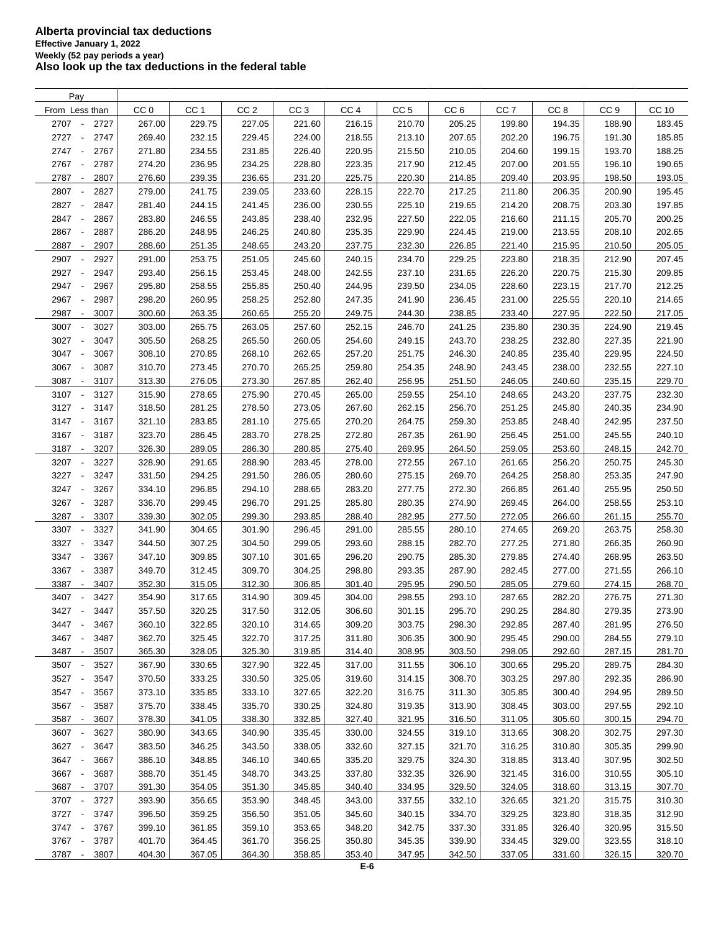| Pay                                      |                 |                 |                 |                 |                 |                 |                 |                 |                 |                 |              |
|------------------------------------------|-----------------|-----------------|-----------------|-----------------|-----------------|-----------------|-----------------|-----------------|-----------------|-----------------|--------------|
| From Less than                           | CC <sub>0</sub> | CC <sub>1</sub> | CC <sub>2</sub> | CC <sub>3</sub> | CC <sub>4</sub> | CC <sub>5</sub> | CC <sub>6</sub> | CC <sub>7</sub> | CC <sub>8</sub> | CC <sub>9</sub> | <b>CC 10</b> |
| 2707 -<br>2727                           | 267.00          | 229.75          | 227.05          | 221.60          | 216.15          | 210.70          | 205.25          | 199.80          | 194.35          | 188.90          | 183.45       |
| 2727<br>2747<br>$\overline{\phantom{a}}$ | 269.40          | 232.15          | 229.45          | 224.00          | 218.55          | 213.10          | 207.65          | 202.20          | 196.75          | 191.30          | 185.85       |
| 2747<br>2767<br>$\sim$                   | 271.80          | 234.55          | 231.85          | 226.40          | 220.95          | 215.50          | 210.05          | 204.60          | 199.15          | 193.70          | 188.25       |
| 2767<br>2787<br>$\overline{\phantom{a}}$ | 274.20          | 236.95          | 234.25          | 228.80          | 223.35          | 217.90          | 212.45          | 207.00          | 201.55          | 196.10          | 190.65       |
| 2787<br>2807<br>$\overline{\phantom{a}}$ | 276.60          | 239.35          | 236.65          | 231.20          | 225.75          | 220.30          | 214.85          | 209.40          | 203.95          | 198.50          | 193.05       |
| 2807<br>2827<br>$\overline{\phantom{a}}$ | 279.00          | 241.75          |                 |                 |                 |                 |                 |                 |                 |                 |              |
|                                          |                 |                 | 239.05          | 233.60          | 228.15          | 222.70          | 217.25          | 211.80          | 206.35          | 200.90          | 195.45       |
| 2827<br>2847<br>$\overline{\phantom{a}}$ | 281.40          | 244.15          | 241.45          | 236.00          | 230.55          | 225.10          | 219.65          | 214.20          | 208.75          | 203.30          | 197.85       |
| 2847<br>2867<br>$\overline{\phantom{a}}$ | 283.80          | 246.55          | 243.85          | 238.40          | 232.95          | 227.50          | 222.05          | 216.60          | 211.15          | 205.70          | 200.25       |
| 2867<br>2887<br>$\overline{\phantom{a}}$ | 286.20          | 248.95          | 246.25          | 240.80          | 235.35          | 229.90          | 224.45          | 219.00          | 213.55          | 208.10          | 202.65       |
| 2887<br>2907<br>$\blacksquare$           | 288.60          | 251.35          | 248.65          | 243.20          | 237.75          | 232.30          | 226.85          | 221.40          | 215.95          | 210.50          | 205.05       |
| 2907<br>2927<br>$\overline{\phantom{a}}$ | 291.00          | 253.75          | 251.05          | 245.60          | 240.15          | 234.70          | 229.25          | 223.80          | 218.35          | 212.90          | 207.45       |
| 2927<br>2947<br>$\overline{\phantom{a}}$ | 293.40          | 256.15          | 253.45          | 248.00          | 242.55          | 237.10          | 231.65          | 226.20          | 220.75          | 215.30          | 209.85       |
| 2947<br>2967<br>$\overline{\phantom{a}}$ | 295.80          | 258.55          | 255.85          | 250.40          | 244.95          | 239.50          | 234.05          | 228.60          | 223.15          | 217.70          | 212.25       |
| 2967<br>2987                             | 298.20          | 260.95          | 258.25          | 252.80          | 247.35          | 241.90          | 236.45          | 231.00          | 225.55          | 220.10          | 214.65       |
| 2987<br>3007<br>$\overline{\phantom{a}}$ | 300.60          | 263.35          | 260.65          | 255.20          | 249.75          | 244.30          | 238.85          | 233.40          | 227.95          | 222.50          | 217.05       |
| 3007<br>3027<br>$\overline{\phantom{a}}$ | 303.00          | 265.75          | 263.05          | 257.60          | 252.15          | 246.70          | 241.25          | 235.80          | 230.35          | 224.90          | 219.45       |
| 3027<br>3047<br>$\overline{\phantom{a}}$ | 305.50          | 268.25          | 265.50          | 260.05          | 254.60          | 249.15          | 243.70          | 238.25          | 232.80          | 227.35          | 221.90       |
| 3047<br>3067<br>$\overline{\phantom{a}}$ | 308.10          | 270.85          | 268.10          | 262.65          | 257.20          | 251.75          | 246.30          | 240.85          | 235.40          | 229.95          | 224.50       |
| 3067<br>3087<br>$\overline{\phantom{a}}$ | 310.70          | 273.45          | 270.70          | 265.25          | 259.80          | 254.35          | 248.90          | 243.45          | 238.00          | 232.55          | 227.10       |
| 3087<br>3107<br>$\overline{\phantom{a}}$ | 313.30          | 276.05          | 273.30          | 267.85          | 262.40          | 256.95          | 251.50          | 246.05          | 240.60          | 235.15          | 229.70       |
| 3107<br>$\sim$<br>3127                   | 315.90          | 278.65          | 275.90          | 270.45          | 265.00          | 259.55          | 254.10          | 248.65          | 243.20          | 237.75          | 232.30       |
| 3127<br>$\sim$<br>3147                   | 318.50          | 281.25          | 278.50          | 273.05          | 267.60          | 262.15          | 256.70          | 251.25          | 245.80          | 240.35          | 234.90       |
| 3147<br>3167<br>$\overline{\phantom{a}}$ |                 | 283.85          | 281.10          | 275.65          | 270.20          |                 | 259.30          |                 |                 |                 | 237.50       |
|                                          | 321.10          |                 |                 |                 |                 | 264.75          |                 | 253.85          | 248.40          | 242.95          |              |
| 3167<br>3187<br>$\overline{\phantom{a}}$ | 323.70          | 286.45          | 283.70          | 278.25          | 272.80          | 267.35          | 261.90          | 256.45          | 251.00          | 245.55          | 240.10       |
| 3187<br>3207<br>$\overline{\phantom{a}}$ | 326.30          | 289.05          | 286.30          | 280.85          | 275.40          | 269.95          | 264.50          | 259.05          | 253.60          | 248.15          | 242.70       |
| 3207<br>3227<br>$\overline{\phantom{a}}$ | 328.90          | 291.65          | 288.90          | 283.45          | 278.00          | 272.55          | 267.10          | 261.65          | 256.20          | 250.75          | 245.30       |
| 3227<br>3247<br>$\overline{\phantom{a}}$ | 331.50          | 294.25          | 291.50          | 286.05          | 280.60          | 275.15          | 269.70          | 264.25          | 258.80          | 253.35          | 247.90       |
| 3247<br>3267<br>$\overline{\phantom{a}}$ | 334.10          | 296.85          | 294.10          | 288.65          | 283.20          | 277.75          | 272.30          | 266.85          | 261.40          | 255.95          | 250.50       |
| 3267<br>3287<br>$\overline{\phantom{a}}$ | 336.70          | 299.45          | 296.70          | 291.25          | 285.80          | 280.35          | 274.90          | 269.45          | 264.00          | 258.55          | 253.10       |
| 3287<br>3307<br>$\overline{\phantom{a}}$ | 339.30          | 302.05          | 299.30          | 293.85          | 288.40          | 282.95          | 277.50          | 272.05          | 266.60          | 261.15          | 255.70       |
| 3307<br>3327<br>$\overline{\phantom{a}}$ | 341.90          | 304.65          | 301.90          | 296.45          | 291.00          | 285.55          | 280.10          | 274.65          | 269.20          | 263.75          | 258.30       |
| 3327<br>3347<br>$\overline{\phantom{a}}$ | 344.50          | 307.25          | 304.50          | 299.05          | 293.60          | 288.15          | 282.70          | 277.25          | 271.80          | 266.35          | 260.90       |
| 3347<br>3367<br>$\overline{\phantom{a}}$ | 347.10          | 309.85          | 307.10          | 301.65          | 296.20          | 290.75          | 285.30          | 279.85          | 274.40          | 268.95          | 263.50       |
| 3367<br>3387<br>$\overline{\phantom{a}}$ | 349.70          | 312.45          | 309.70          | 304.25          | 298.80          | 293.35          | 287.90          | 282.45          | 277.00          | 271.55          | 266.10       |
| 3387<br>3407<br>$\overline{\phantom{a}}$ | 352.30          | 315.05          | 312.30          | 306.85          | 301.40          | 295.95          | 290.50          | 285.05          | 279.60          | 274.15          | 268.70       |
| 3407<br>3427                             | 354.90          | 317.65          | 314.90          | 309.45          | 304.00          | 298.55          | 293.10          | 287.65          | 282.20          | 276.75          | 271.30       |
| 3427 -<br>3447                           | 357.50          | 320.25          | 317.50          | 312.05          | 306.60          | 301.15          | 295.70          | 290.25          | 284.80          | 279.35          | 273.90       |
| 3447 -<br>3467                           | 360.10          | 322.85          | 320.10          | 314.65          | 309.20          | 303.75          | 298.30          | 292.85          | 287.40          | 281.95          | 276.50       |
| 3467 -<br>3487                           | 362.70          | 325.45          | 322.70          | 317.25          | 311.80          | 306.35          | 300.90          | 295.45          | 290.00          | 284.55          | 279.10       |
| 3487 -<br>3507                           | 365.30          | 328.05          | 325.30          | 319.85          | 314.40          | 308.95          | 303.50          | 298.05          | 292.60          | 287.15          | 281.70       |
| 3507<br>3527                             | 367.90          | 330.65          | 327.90          | 322.45          | 317.00          | 311.55          | 306.10          | 300.65          | 295.20          | 289.75          | 284.30       |
|                                          |                 | 333.25          |                 |                 |                 |                 |                 |                 |                 |                 |              |
| 3527<br>3547<br>$\overline{\phantom{a}}$ | 370.50          |                 | 330.50          | 325.05          | 319.60          | 314.15          | 308.70          | 303.25          | 297.80          | 292.35          | 286.90       |
| 3547 -<br>3567                           | 373.10          | 335.85          | 333.10          | 327.65          | 322.20          | 316.75          | 311.30          | 305.85          | 300.40          | 294.95          | 289.50       |
| 3567<br>3587<br>$\overline{\phantom{a}}$ | 375.70          | 338.45          | 335.70          | 330.25          | 324.80          | 319.35          | 313.90          | 308.45          | 303.00          | 297.55          | 292.10       |
| 3587<br>3607<br>$\sim$                   | 378.30          | 341.05          | 338.30          | 332.85          | 327.40          | 321.95          | 316.50          | 311.05          | 305.60          | 300.15          | 294.70       |
| 3607 -<br>3627                           | 380.90          | 343.65          | 340.90          | 335.45          | 330.00          | 324.55          | 319.10          | 313.65          | 308.20          | 302.75          | 297.30       |
| 3627 -<br>3647                           | 383.50          | 346.25          | 343.50          | 338.05          | 332.60          | 327.15          | 321.70          | 316.25          | 310.80          | 305.35          | 299.90       |
| 3647 -<br>3667                           | 386.10          | 348.85          | 346.10          | 340.65          | 335.20          | 329.75          | 324.30          | 318.85          | 313.40          | 307.95          | 302.50       |
| 3667<br>3687<br>$\overline{\phantom{a}}$ | 388.70          | 351.45          | 348.70          | 343.25          | 337.80          | 332.35          | 326.90          | 321.45          | 316.00          | 310.55          | 305.10       |
| 3687 -<br>3707                           | 391.30          | 354.05          | 351.30          | 345.85          | 340.40          | 334.95          | 329.50          | 324.05          | 318.60          | 313.15          | 307.70       |
| 3707 -<br>3727                           | 393.90          | 356.65          | 353.90          | 348.45          | 343.00          | 337.55          | 332.10          | 326.65          | 321.20          | 315.75          | 310.30       |
| 3727 -<br>3747                           | 396.50          | 359.25          | 356.50          | 351.05          | 345.60          | 340.15          | 334.70          | 329.25          | 323.80          | 318.35          | 312.90       |
| 3747 -<br>3767                           | 399.10          | 361.85          | 359.10          | 353.65          | 348.20          | 342.75          | 337.30          | 331.85          | 326.40          | 320.95          | 315.50       |
| 3767 -<br>3787                           | 401.70          | 364.45          | 361.70          | 356.25          | 350.80          | 345.35          | 339.90          | 334.45          | 329.00          | 323.55          | 318.10       |
| 3787<br>3807<br>$\overline{\phantom{a}}$ | 404.30          | 367.05          | 364.30          | 358.85          | 353.40          | 347.95          | 342.50          | 337.05          | 331.60          | 326.15          | 320.70       |
|                                          |                 |                 |                 |                 |                 |                 |                 |                 |                 |                 |              |